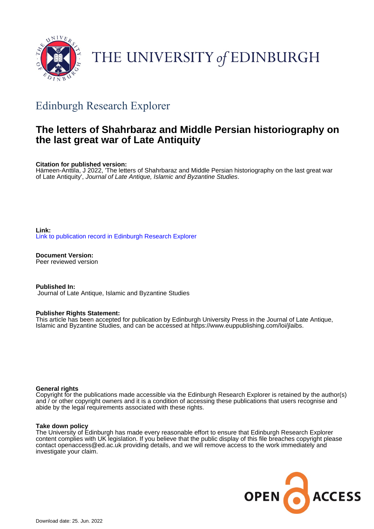

# THE UNIVERSITY of EDINBURGH

# Edinburgh Research Explorer

### **The letters of Shahrbaraz and Middle Persian historiography on the last great war of Late Antiquity**

**Citation for published version:**

Hämeen-Anttila, J 2022, 'The letters of Shahrbaraz and Middle Persian historiography on the last great war of Late Antiquity', Journal of Late Antique, Islamic and Byzantine Studies.

**Link:** [Link to publication record in Edinburgh Research Explorer](https://www.research.ed.ac.uk/en/publications/3aa80b20-d52d-4c1d-ac09-20c5db9fa94d)

**Document Version:** Peer reviewed version

**Published In:** Journal of Late Antique, Islamic and Byzantine Studies

#### **Publisher Rights Statement:**

This article has been accepted for publication by Edinburgh University Press in the Journal of Late Antique, Islamic and Byzantine Studies, and can be accessed at https://www.euppublishing.com/loi/jlaibs.

#### **General rights**

Copyright for the publications made accessible via the Edinburgh Research Explorer is retained by the author(s) and / or other copyright owners and it is a condition of accessing these publications that users recognise and abide by the legal requirements associated with these rights.

#### **Take down policy**

The University of Edinburgh has made every reasonable effort to ensure that Edinburgh Research Explorer content complies with UK legislation. If you believe that the public display of this file breaches copyright please contact openaccess@ed.ac.uk providing details, and we will remove access to the work immediately and investigate your claim.

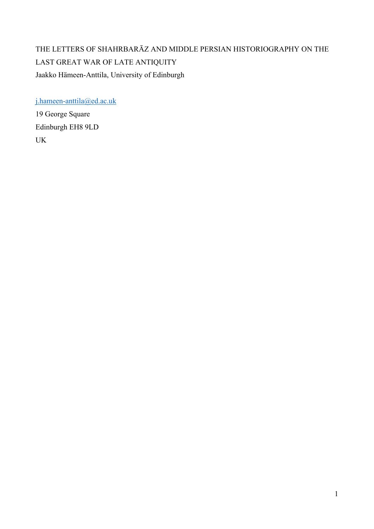## THE LETTERS OF SHAHRBARĀZ AND MIDDLE PERSIAN HISTORIOGRAPHY ON THE LAST GREAT WAR OF LATE ANTIQUITY Jaakko Hämeen-Anttila, University of Edinburgh

[j.hameen-anttila@ed.ac.uk](mailto:j.hameen-anttila@ed.ac.uk)

19 George Square Edinburgh EH8 9LD UK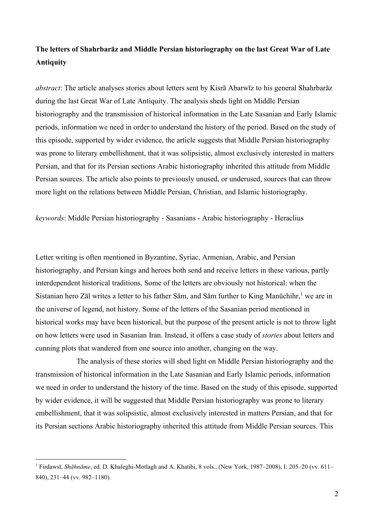### **The letters of Shahrbarāz and Middle Persian historiography on the last Great War of Late Antiquity**

*abstract*: The article analyses stories about letters sent by Kisrā Abarwīz to his general Shahrbarāz during the last Great War of Late Antiquity. The analysis sheds light on Middle Persian historiography and the transmission of historical information in the Late Sasanian and Early Islamic periods, information we need in order to understand the history of the period. Based on the study of this episode, supported by wider evidence, the article suggests that Middle Persian historiography was prone to literary embellishment, that it was solipsistic, almost exclusively interested in matters Persian, and that for its Persian sections Arabic historiography inherited this attitude from Middle Persian sources. The article also points to previously unused, or underused, sources that can throw more light on the relations between Middle Persian, Christian, and Islamic historiography.

*keywords*: Middle Persian historiography - Sasanians - Arabic historiography - Heraclius

Letter writing is often mentioned in Byzantine, Syriac, Armenian, Arabic, and Persian historiography, and Persian kings and heroes both send and receive letters in these various, partly interdependent historical traditions. Some of the letters are obviously not historical: when the Sistanian hero Zāl writes a letter to his father Sām, and Sām further to King Manūchihr, <sup>1</sup> we are in the universe of legend, not history. Some of the letters of the Sasanian period mentioned in historical works may have been historical, but the purpose of the present article is not to throw light on how letters were used in Sasanian Iran. Instead, it offers a case study of *stories* about letters and cunning plots that wandered from one source into another, changing on the way.

The analysis of these stories will shed light on Middle Persian historiography and the transmission of historical information in the Late Sasanian and Early Islamic periods, information we need in order to understand the history of the time. Based on the study of this episode, supported by wider evidence, it will be suggested that Middle Persian historiography was prone to literary embellishment, that it was solipsistic, almost exclusively interested in matters Persian, and that for its Persian sections Arabic historiography inherited this attitude from Middle Persian sources. This

<sup>1</sup> Firdawsī, *Shāhnāme*, ed. D. Khaleghi-Motlagh and A. Khatibi, 8 vols., (New York, 1987–2008), I: 205–20 (vv. 611– 840), 231–44 (vv. 982–1180).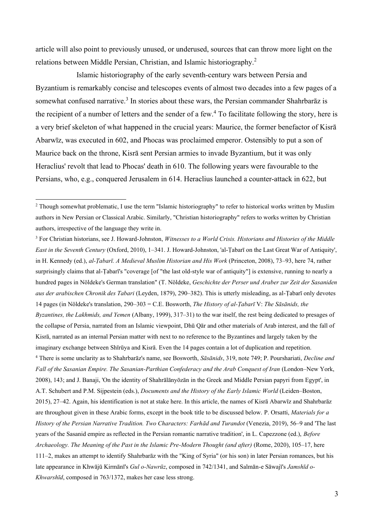article will also point to previously unused, or underused, sources that can throw more light on the relations between Middle Persian, Christian, and Islamic historiography.<sup>2</sup>

Islamic historiography of the early seventh-century wars between Persia and Byzantium is remarkably concise and telescopes events of almost two decades into a few pages of a somewhat confused narrative.<sup>3</sup> In stories about these wars, the Persian commander Shahrbarāz is the recipient of a number of letters and the sender of a few. <sup>4</sup> To facilitate following the story, here is a very brief skeleton of what happened in the crucial years: Maurice, the former benefactor of Kisrā Abarwīz, was executed in 602, and Phocas was proclaimed emperor. Ostensibly to put a son of Maurice back on the throne, Kisrā sent Persian armies to invade Byzantium, but it was only Heraclius' revolt that lead to Phocas' death in 610. The following years were favourable to the Persians, who, e.g., conquered Jerusalem in 614. Heraclius launched a counter-attack in 622, but

<sup>3</sup> For Christian historians, see J. Howard-Johnston, *Witnesses to a World Crisis. Historians and Histories of the Middle East in the Seventh Century* (Oxford, 2010), 1–341. J. Howard-Johnston, 'al-Ṭabarī on the Last Great War of Antiquity', in H. Kennedy (ed.), *al-Ṭabarī. A Medieval Muslim Historian and His Work* (Princeton, 2008), 73–93, here 74, rather surprisingly claims that al-Ṭabarī's "coverage [of "the last old-style war of antiquity"] is extensive, running to nearly a hundred pages in Nöldeke's German translation" (T. Nöldeke, *Geschichte der Perser und Araber zur Zeit der Sasaniden aus der arabischen Chronik des Tabari* (Leyden, 1879), 290–382). This is utterly misleading, as al-Ṭabarī only devotes 14 pages (in Nöldeke's translation, 290–303 = C.E. Bosworth, *The History of al-Ṭabarī* V: *The Sāsānids, the Byzantines, the Lakhmids, and Yemen* (Albany, 1999), 317–31) to the war itself, the rest being dedicated to presages of the collapse of Persia, narrated from an Islamic viewpoint, Dhū Qār and other materials of Arab interest, and the fall of Kisrā, narrated as an internal Persian matter with next to no reference to the Byzantines and largely taken by the imaginary exchange between Shīrūya and Kisrā. Even the 14 pages contain a lot of duplication and repetition. <sup>4</sup> There is some unclarity as to Shahrbarāz's name, see Bosworth, *Sāsānids*, 319, note 749; P. Pourshariati, *Decline and Fall of the Sasanian Empire. The Sasanian-Parthian Confederacy and the Arab Conquest of Iran* (London–New York, 2008), 143; and J. Banaji, 'On the identity of Shahrālānyōzān in the Greek and Middle Persian papyri from Egypt', in A.T. Schubert and P.M. Sijpestein (eds.), *Documents and the History of the Early Islamic World* (Leiden–Boston, 2015), 27–42. Again, his identification is not at stake here. In this article, the names of Kisrā Abarwīz and Shahrbarāz are throughout given in these Arabic forms, except in the book title to be discussed below. P. Orsatti, *Materials for a History of the Persian Narrative Tradition. Two Characters: Farhād and Turandot* (Venezia, 2019), 56–9 and 'The last years of the Sasanid empire as reflected in the Persian romantic narrative tradition', in L. Capezzone (ed.), *Before Archaeology. The Meaning of the Past in the Islamic Pre-Modern Thought (and after)* (Rome, 2020), 105–17, here 111–2, makes an attempt to identify Shahrbarāz with the "King of Syria" (or his son) in later Persian romances, but his late appearance in Khwājū Kirmānī's *Gul o-Nawrūz*, composed in 742/1341, and Salmān-e Sāwajī's *Jamshīd o-Khwarshīd*, composed in 763/1372, makes her case less strong.

<sup>&</sup>lt;sup>2</sup> Though somewhat problematic, I use the term "Islamic historiography" to refer to historical works written by Muslim authors in New Persian or Classical Arabic. Similarly, "Christian historiography" refers to works written by Christian authors, irrespective of the language they write in.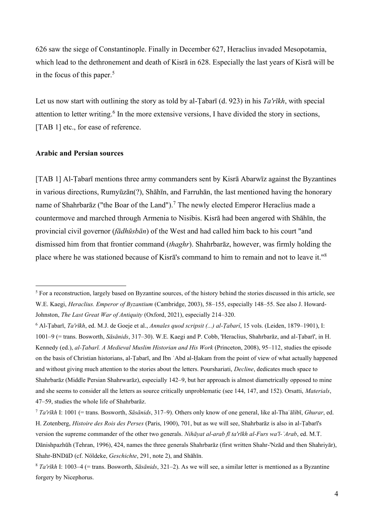626 saw the siege of Constantinople. Finally in December 627, Heraclius invaded Mesopotamia, which lead to the dethronement and death of Kisrā in 628. Especially the last years of Kisrā will be in the focus of this paper. 5

Let us now start with outlining the story as told by al-Ṭabarī (d. 923) in his *Ta'rīkh*, with special attention to letter writing.<sup>6</sup> In the more extensive versions, I have divided the story in sections, [TAB 1] etc., for ease of reference.

#### **Arabic and Persian sources**

[TAB 1] Al-Ṭabarī mentions three army commanders sent by Kisrā Abarwīz against the Byzantines in various directions, Rumyūzān(?), Shāhīn, and Farruhān, the last mentioned having the honorary name of Shahrbarāz ("the Boar of the Land").<sup>7</sup> The newly elected Emperor Heraclius made a countermove and marched through Armenia to Nisibis. Kisrā had been angered with Shāhīn, the provincial civil governor (*fādhūsbān*) of the West and had called him back to his court "and dismissed him from that frontier command (*thaghr*). Shahrbarāz, however, was firmly holding the place where he was stationed because of Kisrā's command to him to remain and not to leave it."<sup>8</sup>

<sup>&</sup>lt;sup>5</sup> For a reconstruction, largely based on Byzantine sources, of the history behind the stories discussed in this article, see W.E. Kaegi, *Heraclius. Emperor of Byzantium* (Cambridge, 2003), 58–155, especially 148–55. See also J. Howard-Johnston, *The Last Great War of Antiquity* (Oxford, 2021), especially 214–320.

<sup>6</sup> Al-Ṭabarī, *Ta'rīkh*, ed. M.J. de Goeje et al., *Annales quod scripsit (...) al-Ṭabarî*, 15 vols. (Leiden, 1879–1901), I: 1001–9 (= trans. Bosworth, *Sāsānids*, 317–30). W.E. Kaegi and P. Cobb, 'Heraclius, Shahrbarāz, and al-Ṭabarī', in H. Kennedy (ed.), *al-Ṭabarī. A Medieval Muslim Historian and His Work* (Princeton, 2008), 95–112, studies the episode on the basis of Christian historians, al-Ṭabarī, and Ibn ʿAbd al-Ḥakam from the point of view of what actually happened and without giving much attention to the stories about the letters. Pourshariati, *Decline*, dedicates much space to Shahrbarāz (Middle Persian Shahrwarāz), especially 142–9, but her approach is almost diametrically opposed to mine and she seems to consider all the letters as source critically unproblematic (see 144, 147, and 152). Orsatti, *Materials*, 47–59, studies the whole life of Shahrbarāz.

<sup>7</sup> *Ta'rīkh* I: 1001 (= trans. Bosworth, *Sāsānids*, 317–9). Others only know of one general, like al-Thaʿālibī, *Ghurar*, ed. H. Zotenberg, *Histoire des Rois des Perses* (Paris, 1900), 701, but as we will see, Shahrbarāz is also in al-Ṭabarī's version the supreme commander of the other two generals. *Nihāyat al-arab fī ta'rīkh al-Furs wa'l-ʿArab*, ed. M.T. Dānishpazhūh (Tehran, 1996), 424, names the three generals Shahrbarāz (first written Shahr-'Nzād and then Shahriyār), Shahr-BNDāD (cf. Nöldeke, *Geschichte*, 291, note 2), and Shāhīn.

<sup>8</sup> *Ta'rīkh* I: 1003–4 (= trans. Bosworth, *Sāsānids*, 321–2). As we will see, a similar letter is mentioned as a Byzantine forgery by Nicephorus.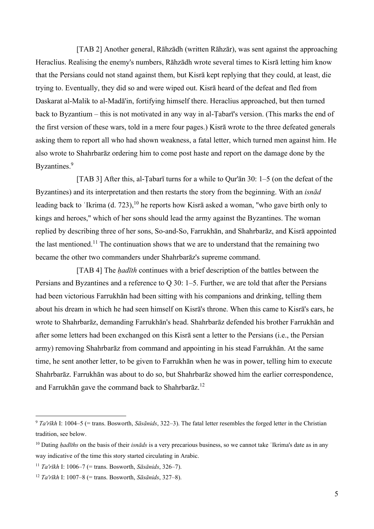[TAB 2] Another general, Rāhzādh (written Rāhzār), was sent against the approaching Heraclius. Realising the enemy's numbers, Rāhzādh wrote several times to Kisrā letting him know that the Persians could not stand against them, but Kisrā kept replying that they could, at least, die trying to. Eventually, they did so and were wiped out. Kisrā heard of the defeat and fled from Daskarat al-Malik to al-Madā'in, fortifying himself there. Heraclius approached, but then turned back to Byzantium – this is not motivated in any way in al-Ṭabarī's version. (This marks the end of the first version of these wars, told in a mere four pages.) Kisrā wrote to the three defeated generals asking them to report all who had shown weakness, a fatal letter, which turned men against him. He also wrote to Shahrbarāz ordering him to come post haste and report on the damage done by the Byzantines.<sup>9</sup>

[TAB 3] After this, al-Tabarī turns for a while to Qur'ān 30: 1–5 (on the defeat of the Byzantines) and its interpretation and then restarts the story from the beginning. With an *isnād* leading back to 'Ikrima (d. 723),<sup>10</sup> he reports how Kisrā asked a woman, "who gave birth only to kings and heroes," which of her sons should lead the army against the Byzantines. The woman replied by describing three of her sons, So-and-So, Farrukhān, and Shahrbarāz, and Kisrā appointed the last mentioned.<sup>11</sup> The continuation shows that we are to understand that the remaining two became the other two commanders under Shahrbarāz's supreme command.

[TAB 4] The *ḥadīth* continues with a brief description of the battles between the Persians and Byzantines and a reference to Q 30: 1–5. Further, we are told that after the Persians had been victorious Farrukhān had been sitting with his companions and drinking, telling them about his dream in which he had seen himself on Kisrā's throne. When this came to Kisrā's ears, he wrote to Shahrbarāz, demanding Farrukhān's head. Shahrbarāz defended his brother Farrukhān and after some letters had been exchanged on this Kisrā sent a letter to the Persians (i.e., the Persian army) removing Shahrbarāz from command and appointing in his stead Farrukhān. At the same time, he sent another letter, to be given to Farrukhān when he was in power, telling him to execute Shahrbarāz. Farrukhān was about to do so, but Shahrbarāz showed him the earlier correspondence, and Farrukhān gave the command back to Shahrbarāz.<sup>12</sup>

<sup>9</sup> *Ta'rīkh* I: 1004–5 (= trans. Bosworth, *Sāsānids*, 322–3). The fatal letter resembles the forged letter in the Christian tradition, see below.

<sup>&</sup>lt;sup>10</sup> Dating *hadīths* on the basis of their *isnāds* is a very precarious business, so we cannot take 'Ikrima's date as in any way indicative of the time this story started circulating in Arabic.

<sup>11</sup> *Ta'rīkh* I: 1006–7 (= trans. Bosworth, *Sāsānids*, 326–7).

<sup>12</sup> *Ta'rīkh* I: 1007–8 (= trans. Bosworth, *Sāsānids*, 327–8).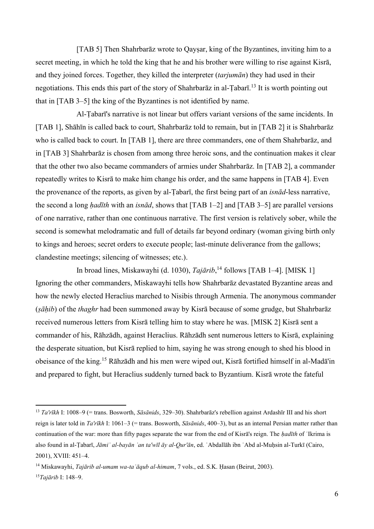[TAB 5] Then Shahrbaraz wrote to Qaysar, king of the Byzantines, inviting him to a secret meeting, in which he told the king that he and his brother were willing to rise against Kisrā, and they joined forces. Together, they killed the interpreter (*tarjumān*) they had used in their negotiations. This ends this part of the story of Shahrbaraz in al-Țabari.<sup>13</sup> It is worth pointing out that in [TAB 3–5] the king of the Byzantines is not identified by name.

Al-Ṭabarī's narrative is not linear but offers variant versions of the same incidents. In [TAB 1], Shāhīn is called back to court, Shahrbarāz told to remain, but in [TAB 2] it is Shahrbarāz who is called back to court. In [TAB 1], there are three commanders, one of them Shahrbarāz, and in [TAB 3] Shahrbarāz is chosen from among three heroic sons, and the continuation makes it clear that the other two also became commanders of armies under Shahrbarāz. In [TAB 2], a commander repeatedly writes to Kisrā to make him change his order, and the same happens in [TAB 4]. Even the provenance of the reports, as given by al-Ṭabarī, the first being part of an *isnād*-less narrative, the second a long *ḥadīth* with an *isnād*, shows that [TAB 1–2] and [TAB 3–5] are parallel versions of one narrative, rather than one continuous narrative. The first version is relatively sober, while the second is somewhat melodramatic and full of details far beyond ordinary (woman giving birth only to kings and heroes; secret orders to execute people; last-minute deliverance from the gallows; clandestine meetings; silencing of witnesses; etc.).

In broad lines, Miskawayhi (d. 1030), *Tajārib*, <sup>14</sup> follows [TAB 1–4]. [MISK 1] Ignoring the other commanders, Miskawayhi tells how Shahrbarāz devastated Byzantine areas and how the newly elected Heraclius marched to Nisibis through Armenia. The anonymous commander (*ṣāḥib*) of the *thaghr* had been summoned away by Kisrā because of some grudge, but Shahrbarāz received numerous letters from Kisrā telling him to stay where he was. [MISK 2] Kisrā sent a commander of his, Rāhzādh, against Heraclius. Rāhzādh sent numerous letters to Kisrā, explaining the desperate situation, but Kisrā replied to him, saying he was strong enough to shed his blood in obeisance of the king.<sup>15</sup> Rāhzādh and his men were wiped out, Kisrā fortified himself in al-Madā'in and prepared to fight, but Heraclius suddenly turned back to Byzantium. Kisrā wrote the fateful

<sup>13</sup> *Ta'rīkh* I: 1008–9 (= trans. Bosworth, *Sāsānids*, 329–30). Shahrbarāz's rebellion against Ardashīr III and his short reign is later told in *Ta'rīkh* I: 1061–3 (= trans. Bosworth, *Sāsānids*, 400–3), but as an internal Persian matter rather than continuation of the war: more than fifty pages separate the war from the end of Kisrā's reign. The *ḥadīth* of ʿIkrima is also found in al-Ṭabarī, *Jāmiʿ al-bayān ʿan ta'wīl āy al-Qur'ān*, ed. ʿAbdallāh ibn ʿAbd al-Muḥsin al-Turkī (Cairo, 2001), XVIII: 451–4.

<sup>14</sup> Miskawayhi, *Tajārib al-umam wa-taʿāqub al-himam*, 7 vols., ed. S.K. Ḥasan (Beirut, 2003). 15*Tajārib* I: 148–9.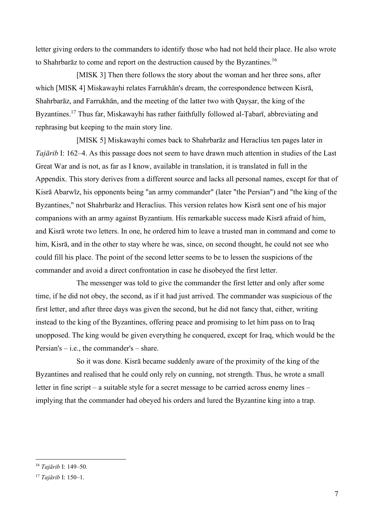letter giving orders to the commanders to identify those who had not held their place. He also wrote to Shahrbarāz to come and report on the destruction caused by the Byzantines.<sup>16</sup>

[MISK 3] Then there follows the story about the woman and her three sons, after which [MISK 4] Miskawayhi relates Farrukhān's dream, the correspondence between Kisrā, Shahrbarāz, and Farrukhān, and the meeting of the latter two with Qaysar, the king of the Byzantines.<sup>17</sup> Thus far, Miskawayhi has rather faithfully followed al-Tabarī, abbreviating and rephrasing but keeping to the main story line.

[MISK 5] Miskawayhi comes back to Shahrbarāz and Heraclius ten pages later in *Tajārib* I: 162–4. As this passage does not seem to have drawn much attention in studies of the Last Great War and is not, as far as I know, available in translation, it is translated in full in the Appendix. This story derives from a different source and lacks all personal names, except for that of Kisrā Abarwīz, his opponents being "an army commander" (later "the Persian") and "the king of the Byzantines," not Shahrbarāz and Heraclius. This version relates how Kisrā sent one of his major companions with an army against Byzantium. His remarkable success made Kisrā afraid of him, and Kisrā wrote two letters. In one, he ordered him to leave a trusted man in command and come to him, Kisrā, and in the other to stay where he was, since, on second thought, he could not see who could fill his place. The point of the second letter seems to be to lessen the suspicions of the commander and avoid a direct confrontation in case he disobeyed the first letter.

The messenger was told to give the commander the first letter and only after some time, if he did not obey, the second, as if it had just arrived. The commander was suspicious of the first letter, and after three days was given the second, but he did not fancy that, either, writing instead to the king of the Byzantines, offering peace and promising to let him pass on to Iraq unopposed. The king would be given everything he conquered, except for Iraq, which would be the Persian's – i.e., the commander's – share.

So it was done. Kisrā became suddenly aware of the proximity of the king of the Byzantines and realised that he could only rely on cunning, not strength. Thus, he wrote a small letter in fine script – a suitable style for a secret message to be carried across enemy lines – implying that the commander had obeyed his orders and lured the Byzantine king into a trap.

<sup>16</sup> *Tajārib* I: 149–50.

<sup>17</sup> *Tajārib* I: 150–1.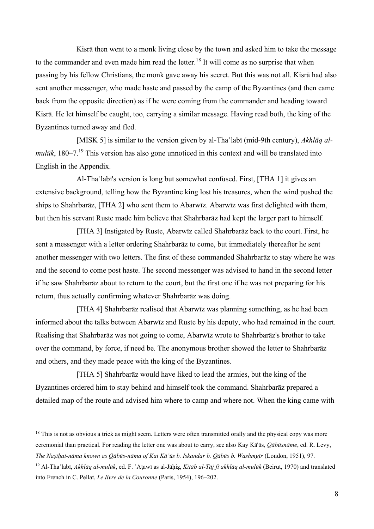Kisrā then went to a monk living close by the town and asked him to take the message to the commander and even made him read the letter.<sup>18</sup> It will come as no surprise that when passing by his fellow Christians, the monk gave away his secret. But this was not all. Kisrā had also sent another messenger, who made haste and passed by the camp of the Byzantines (and then came back from the opposite direction) as if he were coming from the commander and heading toward Kisrā. He let himself be caught, too, carrying a similar message. Having read both, the king of the Byzantines turned away and fled.

[MISK 5] is similar to the version given by al-Thaʿlabī (mid-9th century), *Akhlāq almulūk*, 180–7.<sup>19</sup> This version has also gone unnoticed in this context and will be translated into English in the Appendix.

Al-Thaʿlabī's version is long but somewhat confused. First, [THA 1] it gives an extensive background, telling how the Byzantine king lost his treasures, when the wind pushed the ships to Shahrbarāz, [THA 2] who sent them to Abarwīz. Abarwīz was first delighted with them, but then his servant Ruste made him believe that Shahrbarāz had kept the larger part to himself.

[THA 3] Instigated by Ruste, Abarwīz called Shahrbarāz back to the court. First, he sent a messenger with a letter ordering Shahrbarāz to come, but immediately thereafter he sent another messenger with two letters. The first of these commanded Shahrbarāz to stay where he was and the second to come post haste. The second messenger was advised to hand in the second letter if he saw Shahrbarāz about to return to the court, but the first one if he was not preparing for his return, thus actually confirming whatever Shahrbarāz was doing.

[THA 4] Shahrbarāz realised that Abarwīz was planning something, as he had been informed about the talks between Abarwīz and Ruste by his deputy, who had remained in the court. Realising that Shahrbarāz was not going to come, Abarwīz wrote to Shahrbarāz's brother to take over the command, by force, if need be. The anonymous brother showed the letter to Shahrbarāz and others, and they made peace with the king of the Byzantines.

[THA 5] Shahrbarāz would have liked to lead the armies, but the king of the Byzantines ordered him to stay behind and himself took the command. Shahrbarāz prepared a detailed map of the route and advised him where to camp and where not. When the king came with

<sup>&</sup>lt;sup>18</sup> This is not as obvious a trick as might seem. Letters were often transmitted orally and the physical copy was more ceremonial than practical. For reading the letter one was about to carry, see also Kay Kā'ūs, *Qābūsnāme*, ed. R. Levy, *The Naṣīḥat-nāma known as Qābūs-nāma of Kai Kāʾūs b. Iskandar b. Qābūs b. Washmgīr* (London, 1951), 97.

<sup>19</sup> Al-Thaʿlabī, *Akhlāq al-mulūk*, ed. F. ʿAṭawī as al-Jāḥiẓ, *Kitāb al-Tāj fī akhlāq al-mulūk* (Beirut, 1970) and translated into French in C. Pellat, *Le livre de la Couronne* (Paris, 1954), 196–202.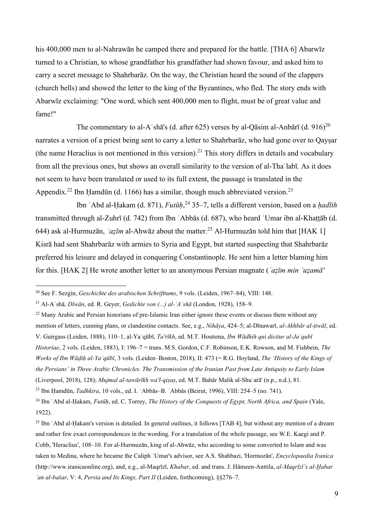his 400,000 men to al-Nahrawān he camped there and prepared for the battle. [THA 6] Abarwīz turned to a Christian, to whose grandfather his grandfather had shown favour, and asked him to carry a secret message to Shahrbarāz. On the way, the Christian heard the sound of the clappers (church bells) and showed the letter to the king of the Byzantines, who fled. The story ends with Abarwīz exclaiming: "One word, which sent 400,000 men to flight, must be of great value and fame!"

The commentary to al-A shall s (d. after 625) verses by al-Qasim al-Anbari (d. 916)<sup>20</sup> narrates a version of a priest being sent to carry a letter to Shahrbarāz, who had gone over to Qayṣar (the name Heraclius is not mentioned in this version).<sup>21</sup> This story differs in details and vocabulary from all the previous ones, but shows an overall similarity to the version of al-Thaʿlabī. As it does not seem to have been translated or used to its full extent, the passage is translated in the Appendix.<sup>22</sup> Ibn Hamdūn (d. 1166) has a similar, though much abbreviated version.<sup>23</sup>

Ibn ʿAbd al-Ḥakam (d. 871), *Futūḥ*, <sup>24</sup> 35–7, tells a different version, based on a *ḥadīth* transmitted through al-Zuhrī (d. 742) from Ibn ʿAbbās (d. 687), who heard ʿUmar ibn al-Khaṭṭāb (d. 644) ask al-Hurmuzān, *`azīm* al-Ahwāz about the matter.<sup>25</sup> Al-Hurmuzān told him that [HAK 1] Kisrā had sent Shahrbarāz with armies to Syria and Egypt, but started suspecting that Shahrbarāz preferred his leisure and delayed in conquering Constantinople. He sent him a letter blaming him for this. [HAK 2] He wrote another letter to an anonymous Persian magnate (*ʿaẓīm min ʿuẓamā'* 

<sup>20</sup> See F. Sezgin, *Geschichte des arabischen Schrifttums*, 9 vols. (Leiden, 1967–84), VIII: 148.

<sup>21</sup> Al-Aʿshā, *Dīwān*, ed. R. Geyer, *Gedichte von (...) al-ʾAʿshā* (London, 1928), 158–9.

<sup>&</sup>lt;sup>22</sup> Many Arabic and Persian historians of pre-Islamic Iran either ignore these events or discuss them without any mention of letters, cunning plans, or clandestine contacts. See, e.g., *Nihāya*, 424–5; al-Dīnawarī, *al-Akhbār al-ṭiwāl*, ed. V. Guirgass (Leiden, 1888), 110–1, al-Yaʿqūbī, *Ta'rīkh*, ed. M.T. Houtsma, *Ibn Wādhih qui dicitur al-Jaʿqubī Historiae*, 2 vols. (Leiden, 1883), I: 196–7 = trans. M.S. Gordon, C.F. Robinson, E.K. Rowson, and M. Fishbein, *The Works of Ibn Wāḍiḥ al-Yaʿqūbī*, 3 vols. (Leiden–Boston, 2018), II: 473 (= R.G. Hoyland, *The 'History of the Kings of the Persians' in Three Arabic Chronicles. The Transmission of the Iranian Past from Late Antiquity to Early Islam* (Liverpool, 2018), 128); *Mujmal al-tawārīkh wa'l-qiṣaṣ*, ed. M.T. Bahār Malik al-Shuʿarā' (n.p., n.d.), 81.

<sup>23</sup> Ibn Ḥamdūn, *Tadhkira*, 10 vols., ed. I. ʿAbbās–B. ʿAbbās (Beirut, 1996), VIII: 254–5 (no. 741).

<sup>24</sup> Ibn ʿAbd al-Ḥakam, *Futūḥ*, ed. C. Torrey, *The History of the Conquests of Egypt, North Africa, and Spain* (Yale, 1922).

<sup>&</sup>lt;sup>25</sup> Ibn 'Abd al-Hakam's version is detailed. In general outlines, it follows [TAB 4], but without any mention of a dream and rather few exact correspondences in the wording. For a translation of the whole passage, see W.E. Kaegi and P. Cobb, 'Heraclius', 108–10. For al-Hurmuzān, king of al-Ahwāz, who according to some converted to Islam and was taken to Medina, where he became the Caliph ʿUmar's advisor, see A.S. Shahbazi, 'Hormozān', *Encyclopaedia Iranica* (http://www.iranicaonline.org), and, e.g., al-Maqrīzī, *Khabar*, ed. and trans. J. Hämeen-Anttila, *al-Maqrīzī's al-Ḫabar ʿan al-bašar*, V: 4, *Persia and Its Kings, Part II* (Leiden, forthcoming), §§276–7.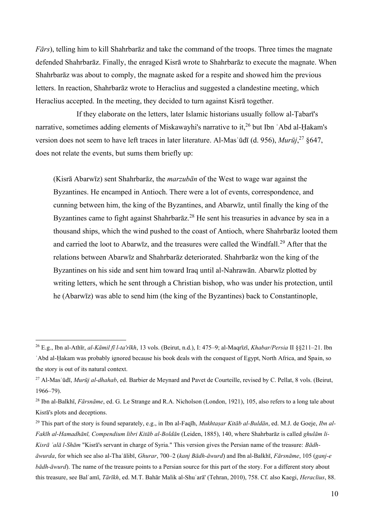*Fārs*), telling him to kill Shahrbarāz and take the command of the troops. Three times the magnate defended Shahrbarāz. Finally, the enraged Kisrā wrote to Shahrbarāz to execute the magnate. When Shahrbarāz was about to comply, the magnate asked for a respite and showed him the previous letters. In reaction, Shahrbarāz wrote to Heraclius and suggested a clandestine meeting, which Heraclius accepted. In the meeting, they decided to turn against Kisrā together.

If they elaborate on the letters, later Islamic historians usually follow al-Ṭabarī's narrative, sometimes adding elements of Miskawayhi's narrative to it,<sup>26</sup> but Ibn 'Abd al-Ḥakam's version does not seem to have left traces in later literature. Al-Masʿūdī (d. 956), *Murūj*, <sup>27</sup> §647, does not relate the events, but sums them briefly up:

(Kisrā Abarwīz) sent Shahrbarāz, the *marzubān* of the West to wage war against the Byzantines. He encamped in Antioch. There were a lot of events, correspondence, and cunning between him, the king of the Byzantines, and Abarwīz, until finally the king of the Byzantines came to fight against Shahrbarāz.<sup>28</sup> He sent his treasuries in advance by sea in a thousand ships, which the wind pushed to the coast of Antioch, where Shahrbarāz looted them and carried the loot to Abarwiz, and the treasures were called the Windfall.<sup>29</sup> After that the relations between Abarwīz and Shahrbarāz deteriorated. Shahrbarāz won the king of the Byzantines on his side and sent him toward Iraq until al-Nahrawān. Abarwīz plotted by writing letters, which he sent through a Christian bishop, who was under his protection, until he (Abarwīz) was able to send him (the king of the Byzantines) back to Constantinople,

<sup>26</sup> E.g., Ibn al-Athīr, *al-Kāmil fī l-ta'rīkh*, 13 vols. (Beirut, n.d.), I: 475–9; al-Maqrīzī, *Khabar/Persia* II §§211–21. Ibn ʿAbd al-Ḥakam was probably ignored because his book deals with the conquest of Egypt, North Africa, and Spain, so the story is out of its natural context.

<sup>27</sup> Al-Masʿūdī, *Murūj al-dhahab*, ed. Barbier de Meynard and Pavet de Courteille, revised by C. Pellat, 8 vols. (Beirut, 1966–79).

<sup>28</sup> Ibn al-Balkhī, *Fārsnāme*, ed. G. Le Strange and R.A. Nicholson (London, 1921), 105, also refers to a long tale about Kisrā's plots and deceptions.

<sup>29</sup> This part of the story is found separately, e.g., in Ibn al-Faqīh, *Mukhtaṣar Kitāb al-Buldān*, ed. M.J. de Goeje, *Ibn al-Fakīh al-Hamadhānī, Compendium libri Kitāb al-Boldān* (Leiden, 1885), 140, where Shahrbarāz is called *ghulām li-Kisrā ʿalā l-Shām* "Kisrā's servant in charge of Syria." This version gives the Persian name of the treasure: *Bādhāwurda*, for which see also al-Thaʿālibī, *Ghurar*, 700–2 (*kanj Bādh-āwurd*) and Ibn al-Balkhī, *Fārsnāme*, 105 (*ganj-e bādh-āwurd*). The name of the treasure points to a Persian source for this part of the story. For a different story about this treasure, see Balʿamī, *Tārīkh*, ed. M.T. Bahār Malik al-Shuʿarā' (Tehran, 2010), 758. Cf. also Kaegi, *Heraclius*, 88.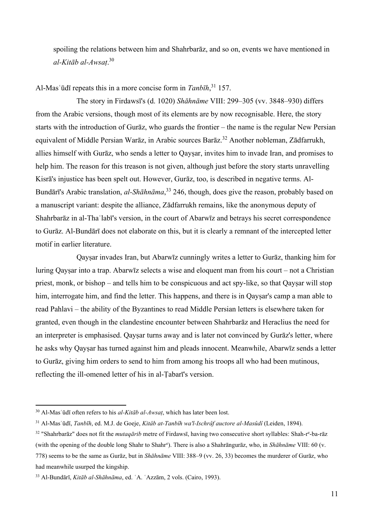spoiling the relations between him and Shahrbarāz, and so on, events we have mentioned in *al-Kitāb al-Awsaṭ*. 30

Al-Masʿūdī repeats this in a more concise form in *Tanbīh*, <sup>31</sup> 157.

The story in Firdawsī's (d. 1020) *Shāhnāme* VIII: 299–305 (vv. 3848–930) differs from the Arabic versions, though most of its elements are by now recognisable. Here, the story starts with the introduction of Gurāz, who guards the frontier – the name is the regular New Persian equivalent of Middle Persian Warāz, in Arabic sources Barāz.<sup>32</sup> Another nobleman, Zādfarrukh, allies himself with Gurāz, who sends a letter to Qayṣar, invites him to invade Iran, and promises to help him. The reason for this treason is not given, although just before the story starts unravelling Kisrā's injustice has been spelt out. However, Gurāz, too, is described in negative terms. Al-Bundārī's Arabic translation, *al-Shāhnāma*, <sup>33</sup> 246, though, does give the reason, probably based on a manuscript variant: despite the alliance, Zādfarrukh remains, like the anonymous deputy of Shahrbarāz in al-Thaʿlabī's version, in the court of Abarwīz and betrays his secret correspondence to Gurāz. Al-Bundārī does not elaborate on this, but it is clearly a remnant of the intercepted letter motif in earlier literature.

Qayṣar invades Iran, but Abarwīz cunningly writes a letter to Gurāz, thanking him for luring Qayṣar into a trap. Abarwīz selects a wise and eloquent man from his court – not a Christian priest, monk, or bishop – and tells him to be conspicuous and act spy-like, so that Qaysar will stop him, interrogate him, and find the letter. This happens, and there is in Oaysar's camp a man able to read Pahlavi – the ability of the Byzantines to read Middle Persian letters is elsewhere taken for granted, even though in the clandestine encounter between Shahrbarāz and Heraclius the need for an interpreter is emphasised. Oaysar turns away and is later not convinced by Gurāz's letter, where he asks why Qaysar has turned against him and pleads innocent. Meanwhile, Abarwīz sends a letter to Gurāz, giving him orders to send to him from among his troops all who had been mutinous, reflecting the ill-omened letter of his in al-Ṭabarī's version.

<sup>30</sup> Al-Masʿūdī often refers to his *al-Kitāb al-Awsaṭ*, which has later been lost.

<sup>31</sup> Al-Masʿūdī, *Tanbīh*, ed. M.J. de Goeje, *Kitâb at-Tanbîh wa'l-Ischrâf auctore al-Masûdî* (Leiden, 1894).

<sup>&</sup>lt;sup>32</sup> "Shahrbarāz" does not fit the *mutaqārib* metre of Firdawsī, having two consecutive short syllables: Shah-r<sup>e</sup>-ba-rāz (with the opening of the double long Shahr to Shahr<sup>e</sup> ). There is also a Shahrāngurāz, who, in *Shāhnāme* VIII: 60 (v. 778) seems to be the same as Gurāz, but in *Shāhnāme* VIII: 388–9 (vv. 26, 33) becomes the murderer of Gurāz, who had meanwhile usurped the kingship.

<sup>33</sup> Al-Bundārī, *Kitāb al-Shāhnāma*, ed. ʿA. ʿAzzām, 2 vols. (Cairo, 1993).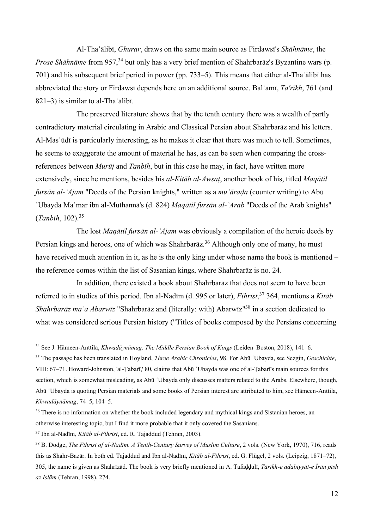Al-Thaʿālibī, *Ghurar*, draws on the same main source as Firdawsī's *Shāhnāme*, the *Prose Shāhnāme* from 957,<sup>34</sup> but only has a very brief mention of Shahrbarāz's Byzantine wars (p. 701) and his subsequent brief period in power (pp. 733–5). This means that either al-Thaʿālibī has abbreviated the story or Firdawsī depends here on an additional source. Balʿamī, *Ta'rīkh*, 761 (and 821–3) is similar to al-Thaʿālibī.

The preserved literature shows that by the tenth century there was a wealth of partly contradictory material circulating in Arabic and Classical Persian about Shahrbarāz and his letters. Al-Masʿūdī is particularly interesting, as he makes it clear that there was much to tell. Sometimes, he seems to exaggerate the amount of material he has, as can be seen when comparing the crossreferences between *Murūj* and *Tanbīh*, but in this case he may, in fact, have written more extensively, since he mentions, besides his *al-Kitāb al-Awsaṭ*, another book of his, titled *Maqātil fursān al-ʿAjam* "Deeds of the Persian knights," written as a *muʿāraḍa* (counter writing) to Abū ʿUbayda Maʿmar ibn al-Muthannā's (d. 824) *Maqātil fursān al-ʿArab* "Deeds of the Arab knights" (*Tanbīh*, 102).<sup>35</sup>

The lost *Maqātil fursān al-ʿAjam* was obviously a compilation of the heroic deeds by Persian kings and heroes, one of which was Shahrbaraz.<sup>36</sup> Although only one of many, he must have received much attention in it, as he is the only king under whose name the book is mentioned – the reference comes within the list of Sasanian kings, where Shahrbarāz is no. 24.

In addition, there existed a book about Shahrbarāz that does not seem to have been referred to in studies of this period. Ibn al-Nadīm (d. 995 or later), *Fihrist*, <sup>37</sup> 364, mentions a *Kitāb Shahrbarāz maʿa Abarwīz* "Shahrbarāz and (literally: with) Abarwīz"<sup>38</sup> in a section dedicated to what was considered serious Persian history ("Titles of books composed by the Persians concerning

<sup>34</sup> See J. Hämeen-Anttila, *Khwadāynāmag. The Middle Persian Book of Kings* (Leiden–Boston, 2018), 141–6.

<sup>35</sup> The passage has been translated in Hoyland, *Three Arabic Chronicles*, 98. For Abū ʿUbayda, see Sezgin, *Geschichte*, VIII: 67–71. Howard-Johnston, 'al-Ṭabarī,' 80, claims that Abū ʿUbayda was one of al-Ṭabarī's main sources for this section, which is somewhat misleading, as Abū ʿUbayda only discusses matters related to the Arabs. Elsewhere, though, Abū ʿUbayda is quoting Persian materials and some books of Persian interest are attributed to him, see Hämeen-Anttila, *Khwadāynāmag*, 74–5, 104–5.

<sup>&</sup>lt;sup>36</sup> There is no information on whether the book included legendary and mythical kings and Sistanian heroes, an otherwise interesting topic, but I find it more probable that it only covered the Sasanians.

<sup>37</sup> Ibn al-Nadīm, *Kitâb al-Fihrist*, ed. R. Tajaddud (Tehran, 2003).

<sup>38</sup> B. Dodge, *The Fihrist of al-Nadīm. A Tenth-Century Survey of Muslim Culture*, 2 vols. (New York, 1970), 716, reads this as Shahr-Bazār. In both ed. Tajaddud and Ibn al-Nadīm, *Kitâb al-Fihrist*, ed. G. Flügel, 2 vols. (Leipzig, 1871–72), 305, the name is given as Shahrīzād. The book is very briefly mentioned in A. Tafaḍḍulī, *Tārīkh-e adabiyyāt-e Īrān pīsh az Islām* (Tehran, 1998), 274.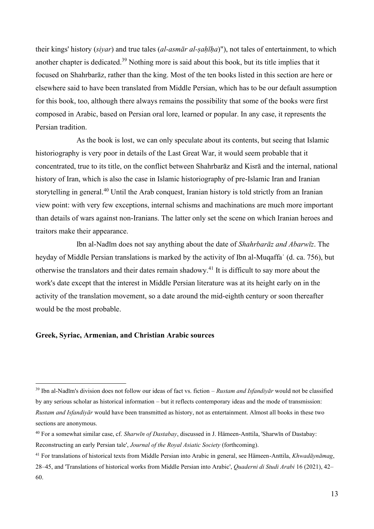their kings' history (*siyar*) and true tales (*al-asmār al-ṣaḥīḥa*)"), not tales of entertainment, to which another chapter is dedicated.<sup>39</sup> Nothing more is said about this book, but its title implies that it focused on Shahrbarāz, rather than the king. Most of the ten books listed in this section are here or elsewhere said to have been translated from Middle Persian, which has to be our default assumption for this book, too, although there always remains the possibility that some of the books were first composed in Arabic, based on Persian oral lore, learned or popular. In any case, it represents the Persian tradition.

As the book is lost, we can only speculate about its contents, but seeing that Islamic historiography is very poor in details of the Last Great War, it would seem probable that it concentrated, true to its title, on the conflict between Shahrbarāz and Kisrā and the internal, national history of Iran, which is also the case in Islamic historiography of pre-Islamic Iran and Iranian storytelling in general.<sup>40</sup> Until the Arab conquest, Iranian history is told strictly from an Iranian view point: with very few exceptions, internal schisms and machinations are much more important than details of wars against non-Iranians. The latter only set the scene on which Iranian heroes and traitors make their appearance.

Ibn al-Nadīm does not say anything about the date of *Shahrbarāz and Abarwīz*. The heyday of Middle Persian translations is marked by the activity of Ibn al-Muqaffaʿ (d. ca. 756), but otherwise the translators and their dates remain shadowy.<sup>41</sup> It is difficult to say more about the work's date except that the interest in Middle Persian literature was at its height early on in the activity of the translation movement, so a date around the mid-eighth century or soon thereafter would be the most probable.

#### **Greek, Syriac, Armenian, and Christian Arabic sources**

<sup>39</sup> Ibn al-Nadīm's division does not follow our ideas of fact vs. fiction – *Rustam and Isfandiyār* would not be classified by any serious scholar as historical information – but it reflects contemporary ideas and the mode of transmission: *Rustam and Isfandiyār* would have been transmitted as history, not as entertainment. Almost all books in these two sections are anonymous.

<sup>40</sup> For a somewhat similar case, cf. *Sharwīn of Dastabay*, discussed in J. Hämeen-Anttila, 'Sharwīn of Dastabay: Reconstructing an early Persian tale', *Journal of the Royal Asiatic Society* (forthcoming).

<sup>41</sup> For translations of historical texts from Middle Persian into Arabic in general, see Hämeen-Anttila, *Khwadāynāmag*, 28–45, and 'Translations of historical works from Middle Persian into Arabic', *Quaderni di Studi Arabi* 16 (2021), 42– 60.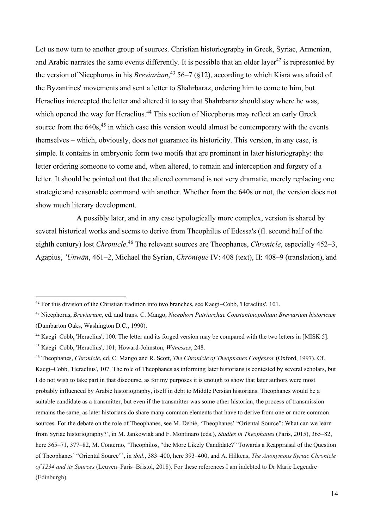Let us now turn to another group of sources. Christian historiography in Greek, Syriac, Armenian, and Arabic narrates the same events differently. It is possible that an older layer<sup>42</sup> is represented by the version of Nicephorus in his *Breviarium*, <sup>43</sup> 56–7 (§12), according to which Kisrā was afraid of the Byzantines' movements and sent a letter to Shahrbarāz, ordering him to come to him, but Heraclius intercepted the letter and altered it to say that Shahrbarāz should stay where he was, which opened the way for Heraclius.<sup>44</sup> This section of Nicephorus may reflect an early Greek source from the  $640s$ ,<sup>45</sup> in which case this version would almost be contemporary with the events themselves – which, obviously, does not guarantee its historicity. This version, in any case, is simple. It contains in embryonic form two motifs that are prominent in later historiography: the letter ordering someone to come and, when altered, to remain and interception and forgery of a letter. It should be pointed out that the altered command is not very dramatic, merely replacing one strategic and reasonable command with another. Whether from the 640s or not, the version does not show much literary development.

A possibly later, and in any case typologically more complex, version is shared by several historical works and seems to derive from Theophilus of Edessa's (fl. second half of the eighth century) lost *Chronicle*.<sup>46</sup> The relevant sources are Theophanes, *Chronicle*, especially 452–3, Agapius, *ʿUnwān*, 461–2, Michael the Syrian, *Chronique* IV: 408 (text), II: 408–9 (translation), and

<sup>&</sup>lt;sup>42</sup> For this division of the Christian tradition into two branches, see Kaegi–Cobb, 'Heraclius', 101.

<sup>43</sup> Nicephorus, *Breviarium*, ed. and trans. C. Mango, *Nicephori Patriarchae Constantinopolitani Breviarium historicum* (Dumbarton Oaks, Washington D.C., 1990).

<sup>44</sup> Kaegi–Cobb, 'Heraclius', 100. The letter and its forged version may be compared with the two letters in [MISK 5].

<sup>45</sup> Kaegi–Cobb, 'Heraclius', 101; Howard-Johnston, *Witnesses*, 248.

<sup>46</sup> Theophanes, *Chronicle*, ed. C. Mango and R. Scott, *The Chronicle of Theophanes Confessor* (Oxford, 1997). Cf. Kaegi–Cobb, 'Heraclius', 107. The role of Theophanes as informing later historians is contested by several scholars, but I do not wish to take part in that discourse, as for my purposes it is enough to show that later authors were most probably influenced by Arabic historiography, itself in debt to Middle Persian historians. Theophanes would be a suitable candidate as a transmitter, but even if the transmitter was some other historian, the process of transmission remains the same, as later historians do share many common elements that have to derive from one or more common sources. For the debate on the role of Theophanes, see M. Debié, 'Theophanes' "Oriental Source": What can we learn from Syriac historiography?', in M. Jankowiak and F. Montinaro (eds.), *Studies in Theophanes* (Paris, 2015), 365–82, here 365–71, 377–82, M. Conterno, 'Theophilos, "the More Likely Candidate?" Towards a Reappraisal of the Question of Theophanes' "Oriental Source"', in *ibid*., 383–400, here 393–400, and A. Hilkens, *The Anonymous Syriac Chronicle of 1234 and its Sources* (Leuven–Paris–Bristol, 2018). For these references I am indebted to Dr Marie Legendre (Edinburgh).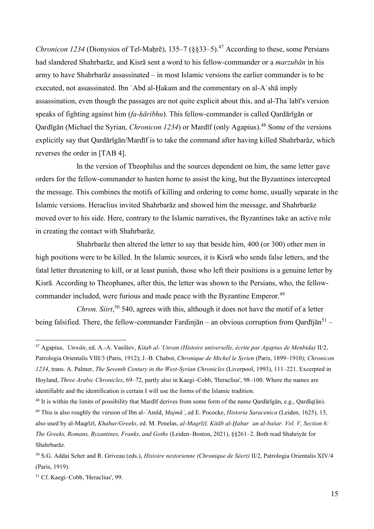*Chronicon 1234* (Dionysios of Tel-Maḥrē), 135–7 (§§33–5). <sup>47</sup> According to these, some Persians had slandered Shahrbarāz, and Kisrā sent a word to his fellow-commander or a *marzubān* in his army to have Shahrbarāz assassinated – in most Islamic versions the earlier commander is to be executed, not assassinated. Ibn ʿAbd al-Ḥakam and the commentary on al-Aʿshā imply assassination, even though the passages are not quite explicit about this, and al-Thaʿlabī's version speaks of fighting against him (*fa-ḥāribhu*). This fellow-commander is called Qardārīgān or Qardīgān (Michael the Syrian, *Chronicon 1234*) or Mardīf (only Agapius).<sup>48</sup> Some of the versions explicitly say that Qardārīgān/Mardīf is to take the command after having killed Shahrbarāz, which reverses the order in [TAB 4].

In the version of Theophilus and the sources dependent on him, the same letter gave orders for the fellow-commander to hasten home to assist the king, but the Byzantines intercepted the message. This combines the motifs of killing and ordering to come home, usually separate in the Islamic versions. Heraclius invited Shahrbarāz and showed him the message, and Shahrbarāz moved over to his side. Here, contrary to the Islamic narratives, the Byzantines take an active role in creating the contact with Shahrbarāz.

Shahrbarāz then altered the letter to say that beside him, 400 (or 300) other men in high positions were to be killed. In the Islamic sources, it is Kisrā who sends false letters, and the fatal letter threatening to kill, or at least punish, those who left their positions is a genuine letter by Kisrā. According to Theophanes, after this, the letter was shown to the Persians, who, the fellowcommander included, were furious and made peace with the Byzantine Emperor.<sup>49</sup>

*Chron. Siirt*, <sup>50</sup> 540, agrees with this, although it does not have the motif of a letter being falsified. There, the fellow-commander Fardinjān – an obvious corruption from Qardījān<sup>51</sup> –

<sup>47</sup> Agapius, *ʿUnwān*, ed. A.-A. Vasiliev, *Kitab al-ʿUnvan (Histoire universelle, écrite par Agapius de Menbida)* II/2, Patrologia Orientalis VIII/3 (Paris, 1912); J.-B. Chabot, *Chronique de Michel le Syrien* (Paris, 1899–1910); *Chronicon 1234*, trans. A. Palmer, *The Seventh Century in the West-Syrian Chronicles* (Liverpool, 1993), 111–221. Excerpted in Hoyland, *Three Arabic Chronicles*, 69–72, partly also in Kaegi–Cobb, 'Heraclius', 98–100. Where the names are identifiable and the identification is certain I will use the forms of the Islamic tradition.

<sup>&</sup>lt;sup>48</sup> It is within the limits of possibility that Mardīf derives from some form of the name Qardārīgān, e.g., Qardīq(ān). <sup>49</sup> This is also roughly the version of Ibn al-ʿAmīd, *Majmūʿ*, ed E. Pococke, *Historia Saracenica* (Leiden, 1625), 13, also used by al-Maqrīzī, *Khabar/Greeks*, ed. M. Penelas, *al-Maqrīzī, Kitāb al-Ḫabar ʿan al-bašar. Vol. V, Section 6: The Greeks, Romans, Byzantines, Franks, and Goths* (Leiden–Boston, 2021), §§261–2. Both read Shahriyār for Shahrbarāz.

<sup>50</sup> S.G. Addai Scher and R. Griveau (eds.), *Histoire nestorienne (Chronique de Séert)* II/2, Patrologia Orientalis XIV/4 (Paris, 1919).

<sup>51</sup> Cf. Kaegi–Cobb, 'Heraclius', 99.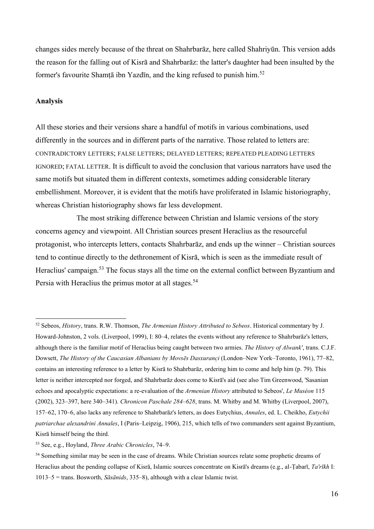changes sides merely because of the threat on Shahrbarāz, here called Shahriyūn. This version adds the reason for the falling out of Kisrā and Shahrbarāz: the latter's daughter had been insulted by the former's favourite Shamtā ibn Yazdīn, and the king refused to punish him.<sup>52</sup>

#### **Analysis**

All these stories and their versions share a handful of motifs in various combinations, used differently in the sources and in different parts of the narrative. Those related to letters are: CONTRADICTORY LETTERS; FALSE LETTERS; DELAYED LETTERS; REPEATED PLEADING LETTERS IGNORED; FATAL LETTER. It is difficult to avoid the conclusion that various narrators have used the same motifs but situated them in different contexts, sometimes adding considerable literary embellishment. Moreover, it is evident that the motifs have proliferated in Islamic historiography, whereas Christian historiography shows far less development.

The most striking difference between Christian and Islamic versions of the story concerns agency and viewpoint. All Christian sources present Heraclius as the resourceful protagonist, who intercepts letters, contacts Shahrbarāz, and ends up the winner – Christian sources tend to continue directly to the dethronement of Kisrā, which is seen as the immediate result of Heraclius' campaign.<sup>53</sup> The focus stays all the time on the external conflict between Byzantium and Persia with Heraclius the primus motor at all stages.<sup>54</sup>

<sup>52</sup> Sebeos, *History*, trans. R.W. Thomson, *The Armenian History Attributed to Sebeos*. Historical commentary by J. Howard-Johnston, 2 vols. (Liverpool, 1999), I: 80–4, relates the events without any reference to Shahrbarāz's letters, although there is the familiar motif of Heraclius being caught between two armies. *The History of Alwank'*, trans. C.J.F. Dowsett, *The History of the Caucasian Albanians by Movsēs Dasxurançi* (London–New York–Toronto, 1961), 77–82, contains an interesting reference to a letter by Kisrā to Shahrbarāz, ordering him to come and help him (p. 79). This letter is neither intercepted nor forged, and Shahrbarāz does come to Kisrā's aid (see also Tim Greenwood, 'Sasanian echoes and apocalyptic expectations: a re-evaluation of the *Armenian History* attributed to Sebeos', *Le Muséon* 115 (2002), 323–397, here 340–341). *Chronicon Paschale 284–628*, trans. M. Whitby and M. Whitby (Liverpool, 2007), 157–62, 170–6, also lacks any reference to Shahrbarāz's letters, as does Eutychius, *Annales*, ed. L. Cheikho, *Eutychii patriarchae alexandrini Annales*, I (Paris–Leipzig, 1906), 215, which tells of two commanders sent against Byzantium, Kisrā himself being the third.

<sup>53</sup> See, e.g., Hoyland, *Three Arabic Chronicles*, 74–9.

<sup>&</sup>lt;sup>54</sup> Something similar may be seen in the case of dreams. While Christian sources relate some prophetic dreams of Heraclius about the pending collapse of Kisrā, Islamic sources concentrate on Kisrā's dreams (e.g., al-Ṭabarī, *Ta'rīkh* I: 1013–5 = trans. Bosworth, *Sāsānids*, 335–8), although with a clear Islamic twist.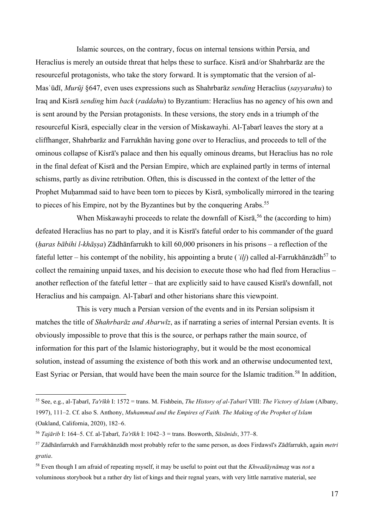Islamic sources, on the contrary, focus on internal tensions within Persia, and Heraclius is merely an outside threat that helps these to surface. Kisrā and/or Shahrbarāz are the resourceful protagonists, who take the story forward. It is symptomatic that the version of al-Masʿūdī, *Murūj* §647, even uses expressions such as Shahrbarāz *sending* Heraclius (*sayyarahu*) to Iraq and Kisrā *sending* him *back* (*raddahu*) to Byzantium: Heraclius has no agency of his own and is sent around by the Persian protagonists. In these versions, the story ends in a triumph of the resourceful Kisrā, especially clear in the version of Miskawayhi. Al-Ṭabarī leaves the story at a cliffhanger, Shahrbarāz and Farrukhān having gone over to Heraclius, and proceeds to tell of the ominous collapse of Kisrā's palace and then his equally ominous dreams, but Heraclius has no role in the final defeat of Kisrā and the Persian Empire, which are explained partly in terms of internal schisms, partly as divine retribution. Often, this is discussed in the context of the letter of the Prophet Muḥammad said to have been torn to pieces by Kisrā, symbolically mirrored in the tearing to pieces of his Empire, not by the Byzantines but by the conquering Arabs.<sup>55</sup>

When Miskawayhi proceeds to relate the downfall of Kisra,<sup>56</sup> the (according to him) defeated Heraclius has no part to play, and it is Kisrā's fateful order to his commander of the guard (*ḥaras bābihi l-khāṣṣa*) Zādhānfarrukh to kill 60,000 prisoners in his prisons – a reflection of the fateful letter – his contempt of the nobility, his appointing a brute (*'ilj*) called al-Farrukhānzādh<sup>57</sup> to collect the remaining unpaid taxes, and his decision to execute those who had fled from Heraclius – another reflection of the fateful letter – that are explicitly said to have caused Kisrā's downfall, not Heraclius and his campaign. Al-Ṭabarī and other historians share this viewpoint.

This is very much a Persian version of the events and in its Persian solipsism it matches the title of *Shahrbarāz and Abarwīz*, as if narrating a series of internal Persian events. It is obviously impossible to prove that this is the source, or perhaps rather the main source, of information for this part of the Islamic historiography, but it would be the most economical solution, instead of assuming the existence of both this work and an otherwise undocumented text, East Syriac or Persian, that would have been the main source for the Islamic tradition.<sup>58</sup> In addition,

<sup>55</sup> See, e.g., al-Ṭabarī, *Ta'rīkh* I: 1572 = trans. M. Fishbein, *The History of al-Ṭabarī* VIII: *The Victory of Islam* (Albany, 1997), 111–2. Cf. also S. Anthony, *Muhammad and the Empires of Faith. The Making of the Prophet of Islam* (Oakland, California, 2020), 182–6.

<sup>56</sup> *Tajārib* I: 164–5. Cf. al-Ṭabarī, *Ta'rīkh* I: 1042–3 = trans. Bosworth, *Sāsānids*, 377–8.

<sup>57</sup> Zādhānfarrukh and Farrukhānzādh most probably refer to the same person, as does Firdawsī's Zādfarrukh, again *metri gratia*.

<sup>58</sup> Even though I am afraid of repeating myself, it may be useful to point out that the *Khwadāynāmag* was *not* a voluminous storybook but a rather dry list of kings and their regnal years, with very little narrative material, see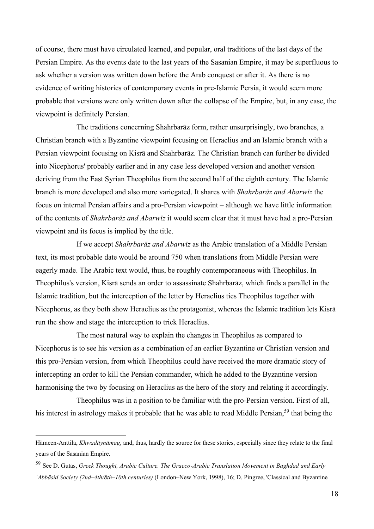of course, there must have circulated learned, and popular, oral traditions of the last days of the Persian Empire. As the events date to the last years of the Sasanian Empire, it may be superfluous to ask whether a version was written down before the Arab conquest or after it. As there is no evidence of writing histories of contemporary events in pre-Islamic Persia, it would seem more probable that versions were only written down after the collapse of the Empire, but, in any case, the viewpoint is definitely Persian.

The traditions concerning Shahrbarāz form, rather unsurprisingly, two branches, a Christian branch with a Byzantine viewpoint focusing on Heraclius and an Islamic branch with a Persian viewpoint focusing on Kisrā and Shahrbarāz. The Christian branch can further be divided into Nicephorus' probably earlier and in any case less developed version and another version deriving from the East Syrian Theophilus from the second half of the eighth century. The Islamic branch is more developed and also more variegated. It shares with *Shahrbarāz and Abarwīz* the focus on internal Persian affairs and a pro-Persian viewpoint – although we have little information of the contents of *Shahrbarāz and Abarwīz* it would seem clear that it must have had a pro-Persian viewpoint and its focus is implied by the title.

If we accept *Shahrbarāz and Abarwīz* as the Arabic translation of a Middle Persian text, its most probable date would be around 750 when translations from Middle Persian were eagerly made. The Arabic text would, thus, be roughly contemporaneous with Theophilus. In Theophilus's version, Kisrā sends an order to assassinate Shahrbarāz, which finds a parallel in the Islamic tradition, but the interception of the letter by Heraclius ties Theophilus together with Nicephorus, as they both show Heraclius as the protagonist, whereas the Islamic tradition lets Kisrā run the show and stage the interception to trick Heraclius.

The most natural way to explain the changes in Theophilus as compared to Nicephorus is to see his version as a combination of an earlier Byzantine or Christian version and this pro-Persian version, from which Theophilus could have received the more dramatic story of intercepting an order to kill the Persian commander, which he added to the Byzantine version harmonising the two by focusing on Heraclius as the hero of the story and relating it accordingly.

Theophilus was in a position to be familiar with the pro-Persian version. First of all, his interest in astrology makes it probable that he was able to read Middle Persian,<sup>59</sup> that being the

Hämeen-Anttila, *Khwadāynāmag*, and, thus, hardly the source for these stories, especially since they relate to the final years of the Sasanian Empire.

<sup>59</sup> See D. Gutas, *Greek Thought, Arabic Culture. The Graeco-Arabic Translation Movement in Baghdad and Early ʿAbbāsid Society (2nd–4th/8th–10th centuries)* (London–New York, 1998), 16; D. Pingree, 'Classical and Byzantine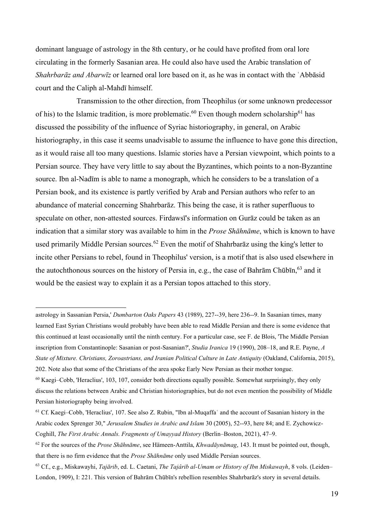dominant language of astrology in the 8th century, or he could have profited from oral lore circulating in the formerly Sasanian area. He could also have used the Arabic translation of *Shahrbarāz and Abarwīz* or learned oral lore based on it, as he was in contact with the ʿAbbāsid court and the Caliph al-Mahdī himself.

Transmission to the other direction, from Theophilus (or some unknown predecessor of his) to the Islamic tradition, is more problematic.<sup>60</sup> Even though modern scholarship<sup>61</sup> has discussed the possibility of the influence of Syriac historiography, in general, on Arabic historiography, in this case it seems unadvisable to assume the influence to have gone this direction, as it would raise all too many questions. Islamic stories have a Persian viewpoint, which points to a Persian source. They have very little to say about the Byzantines, which points to a non-Byzantine source. Ibn al-Nadīm is able to name a monograph, which he considers to be a translation of a Persian book, and its existence is partly verified by Arab and Persian authors who refer to an abundance of material concerning Shahrbarāz. This being the case, it is rather superfluous to speculate on other, non-attested sources. Firdawsī's information on Gurāz could be taken as an indication that a similar story was available to him in the *Prose Shāhnāme*, which is known to have used primarily Middle Persian sources.<sup>62</sup> Even the motif of Shahrbaraz using the king's letter to incite other Persians to rebel, found in Theophilus' version, is a motif that is also used elsewhere in the autochthonous sources on the history of Persia in, e.g., the case of Bahrām Chūbīn, <sup>63</sup> and it would be the easiest way to explain it as a Persian topos attached to this story.

astrology in Sassanian Persia,' *Dumbarton Oaks Papers* 43 (1989), 227--39, here 236--9. In Sasanian times, many learned East Syrian Christians would probably have been able to read Middle Persian and there is some evidence that this continued at least occasionally until the ninth century. For a particular case, see F. de Blois, 'The Middle Persian inscription from Constantinople: Sasanian or post-Sasanian?', *Studia Iranica* 19 (1990), 208–18, and R.E. Payne, *A State of Mixture. Christians, Zoroastrians, and Iranian Political Culture in Late Antiquity* (Oakland, California, 2015), 202. Note also that some of the Christians of the area spoke Early New Persian as their mother tongue.

<sup>60</sup> Kaegi–Cobb, 'Heraclius', 103, 107, consider both directions equally possible. Somewhat surprisingly, they only discuss the relations between Arabic and Christian historiographies, but do not even mention the possibility of Middle Persian historiography being involved.

<sup>&</sup>lt;sup>61</sup> Cf. Kaegi–Cobb, 'Heraclius', 107. See also Z. Rubin, "Ibn al-Muqaffa` and the account of Sasanian history in the Arabic codex Sprenger 30," *Jerusalem Studies in Arabic and Islam* 30 (2005), 52--93, here 84; and E. Zychowicz-Coghill, *The First Arabic Annals. Fragments of Umayyad History* (Berlin–Boston, 2021), 47–9.

<sup>62</sup> For the sources of the *Prose Shāhnāme*, see Hämeen-Anttila, *Khwadāynāmag*, 143. It must be pointed out, though, that there is no firm evidence that the *Prose Shāhnāme* only used Middle Persian sources.

<sup>63</sup> Cf., e.g., Miskawayhi, *Tajārib*, ed. L. Caetani, *The Tajârib al-Umam or History of Ibn Miskawayh*, 8 vols. (Leiden– London, 1909), I: 221. This version of Bahrām Chūbīn's rebellion resembles Shahrbarāz's story in several details.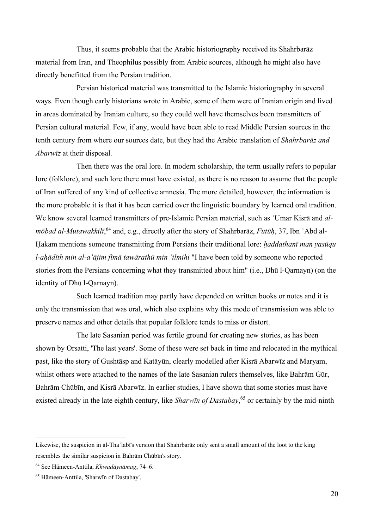Thus, it seems probable that the Arabic historiography received its Shahrbarāz material from Iran, and Theophilus possibly from Arabic sources, although he might also have directly benefitted from the Persian tradition.

Persian historical material was transmitted to the Islamic historiography in several ways. Even though early historians wrote in Arabic, some of them were of Iranian origin and lived in areas dominated by Iranian culture, so they could well have themselves been transmitters of Persian cultural material. Few, if any, would have been able to read Middle Persian sources in the tenth century from where our sources date, but they had the Arabic translation of *Shahrbarāz and Abarwīz* at their disposal.

Then there was the oral lore. In modern scholarship, the term usually refers to popular lore (folklore), and such lore there must have existed, as there is no reason to assume that the people of Iran suffered of any kind of collective amnesia. The more detailed, however, the information is the more probable it is that it has been carried over the linguistic boundary by learned oral tradition. We know several learned transmitters of pre-Islamic Persian material, such as ʿUmar Kisrā and *al*mōbad al-Mutawakkilī,<sup>64</sup> and, e.g., directly after the story of Shahrbarāz, *Futūḥ*, 37, Ibn ʿAbd al-Ḥakam mentions someone transmitting from Persians their traditional lore: *ḥaddathanī man yasūqu l-aḥādīth min al-aʿājim fīmā tawārathū min ʿilmihi* "I have been told by someone who reported stories from the Persians concerning what they transmitted about him" (i.e., Dhū l-Qarnayn) (on the identity of Dhū l-Qarnayn).

Such learned tradition may partly have depended on written books or notes and it is only the transmission that was oral, which also explains why this mode of transmission was able to preserve names and other details that popular folklore tends to miss or distort.

The late Sasanian period was fertile ground for creating new stories, as has been shown by Orsatti, 'The last years'. Some of these were set back in time and relocated in the mythical past, like the story of Gushtāsp and Katāyūn, clearly modelled after Kisrā Abarwīz and Maryam, whilst others were attached to the names of the late Sasanian rulers themselves, like Bahrām Gūr, Bahrām Chūbīn, and Kisrā Abarwīz. In earlier studies, I have shown that some stories must have existed already in the late eighth century, like *Sharwīn of Dastabay*, <sup>65</sup> or certainly by the mid-ninth

Likewise, the suspicion in al-Thaʿlabī's version that Shahrbarāz only sent a small amount of the loot to the king resembles the similar suspicion in Bahrām Chūbīn's story.

<sup>64</sup> See Hämeen-Anttila, *Khwadāynāmag*, 74–6.

<sup>65</sup> Hämeen-Anttila, 'Sharwīn of Dastabay'.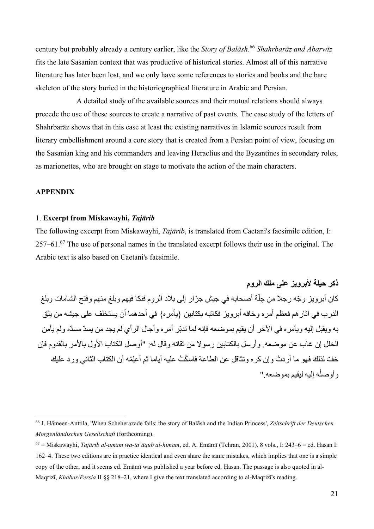century but probably already a century earlier, like the *Story of Balāsh*. <sup>66</sup> *Shahrbarāz and Abarwīz* fits the late Sasanian context that was productive of historical stories. Almost all of this narrative literature has later been lost, and we only have some references to stories and books and the bare skeleton of the story buried in the historiographical literature in Arabic and Persian.

A detailed study of the available sources and their mutual relations should always precede the use of these sources to create a narrative of past events. The case study of the letters of Shahrbarāz shows that in this case at least the existing narratives in Islamic sources result from literary embellishment around a core story that is created from a Persian point of view, focusing on the Sasanian king and his commanders and leaving Heraclius and the Byzantines in secondary roles, as marionettes, who are brought on stage to motivate the action of the main characters.

#### **APPENDIX**

#### 1. **Excerpt from Miskawayhi,** *Tajārib*

The following excerpt from Miskawayhi, *Tajārib*, is translated from Caetani's facsimile edition, I: 257–61.<sup>67</sup> The use of personal names in the translated excerpt follows their use in the original. The Arabic text is also based on Caetani's facsimile.

**ذكر حيلة ألبرويز على ملك الروم** كان أبرويز وجّه رجلا من جِلّة أصحابه في جيش جرّار إلى بلاد الروم فنكا فيهم وبلغ منهم وفتح الشامات وبلغ اً الدرب في آثارهم فعظم أمره وخافه أبرويز فكاتبه بكتابين }يأمره{ في أحدهما أن يستخلف على جيشه من يثق به ويقبل إليه ويأمره في اآلخر أن يقيم بموضعه فإنه لما تدبّر أمره وأجال الرأي لم يجد من يسدّ مسدّه ولم يأمن الخلل إن غاب عن موضعه. وأرسل بالكتابين رسوال من ثقاته وقال له: "أوصل الكتاب األول باألمر بالقدوم فإن خفّ لذلك فهو ما أر دتُ وإن كر ه وتثاقل عن الطاعة فاسكُتْ عليه أياما ثم أعلمْه أن الكتاب الثاني ورد عليك وأوصله إليه ليقيم بموضعه " ْ

<sup>66</sup> J. Hämeen-Anttila, 'When Scheherazade fails: the story of Balāsh and the Indian Princess', *Zeitschrift der Deutschen Morgenländischen Gesellschaft* (forthcoming).

<sup>67</sup> = Miskawayhi, *Tajārib al-umam wa-taʿāqub al-himam*, ed. A. Emāmī (Tehran, 2001), 8 vols., I: 243–6 = ed. Ḥasan I: 162–4. These two editions are in practice identical and even share the same mistakes, which implies that one is a simple copy of the other, and it seems ed. Emāmī was published a year before ed. Ḥasan. The passage is also quoted in al-Maqrizī, *Khabar/Persia* II §§ 218–21, where I give the text translated according to al-Maqrizī's reading.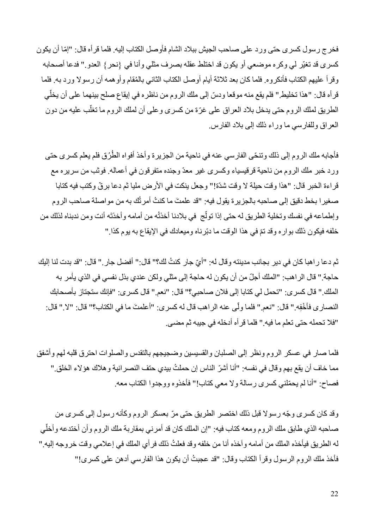فخرج رسول كسرى حتى ورد على صاحب الجيش ببلاد الشام فأوصل الكتاب إليه. فلما قر أه قال: "إمّا أن يكون كسرى قد تغيّر لي وكره موضعي أو يكون قد اختلط عقله بصرف مثلي وأنا في } نحر{ العدو." فدعا أصحابه وقرأ عليهم الكتاب فأنكروه. فلما كان بعد ثلاثة أيام أوصل الكتاب الثاني بالمُقام وأوهمه أن رسولا ورد به. فلما قر أه قال: "هذا تخليط." فلم يقع منه موقعا ودسّ إلى ملك الروم من ناظره في إيقاع صلح بينهما على أن يخلّي الطريق لملك الروم حتى يدخل بلاد العراق على غرّة من كسرى وعلى أن لملك الروم ما تغلب عليه من دون ڵ العراق وللفارسي ما وراء ذلك إلى بالد الفارس.

فأجابه ملك الروم إلى ذلك وتنحّى الفارسي عنه في ناحية من الجزيرة وأخذ أفواه الطُرُق فلم يعلم كسرى حتى ورد خبر ملك الروم من ناحية قرقيسياء وكسرى غير معدّ وجنده متفرقون في أعماله. فوثب من سريره مع قراءة الخبر قال: "هذا وقت حيلة لا وقت شدّة!" وجعل ينكت في الأرض مليا ثم دعا برقّ وكتب فيه كتابا صغيرا بخط دقيق إلى صاحبه بالجزيرة يقول فيه: "قد علمتَ ما كنتُ أمرتُك به من مواصلة صاحب الروم وإطماعه في نفسك وتخلية الطريق له حتى إذا تولّج في بلادنا أخذتُه من أمامه وأخذتَه أنت ومن ندبناه لذلك من خلفه فيكون ذلك بوار ه وقد تمّ في هذا الوقت ما دبّرناه وميعادك في الإيقاع به يوم كذا "

ثم دعا ر اهبا كان في دير بجانب مدينته وقال له: "أيّ جار كنتُ لك؟" قال:" أفضل جار ." قال: "قد بدت لنا إليك حاجة." قال الراهب: "الملك أجلّ من أن يكون له حاجة إلى مثلي ولكن عندي بذل نفسي في الذي يأمر به الملك." قال كسرى: "تحمل لي كتابا إلى فالن صاحبي؟" قال: "نعم." قال كسرى: "فإنك ستجتاز بأصحابك النصارى فأخْفِه.'' قال: ''نعم.'' فلما ولّـى عنه الراهب قال له كسرى: ''أعلمتَ ما في الكتاب؟'' قال: ''لا.'' قال: "فال تحمله حتى تعلم ما فيه." فلما قرأه أدخله في جيبه ثم مضى.

فلما صار في عسكر الروم ونظر إلى الصلبان والقسيسين وضجيجهم بالتقدس والصلوات احترق قلبه لهم وأشفق مما خاف أن يقع بهم وقال في نفسه: "أنا أشرّ الناس إن حملتُ بيدي حتف النصر انية و هلاك هؤلاء الخلق." فصاح: "أنا لم يحمّلني كسرى رسالة ولا معي كتاب!" فأخذوه ووجدوا الكتاب معه.

وقد كان كسرى و ّجه رسوال قبل ذلك اختصر الطريق حتى مّر بعسكر الروم وكأنه رسول إلى كسرى من صاحبه الذي طابق ملك الروم ومعه كتاب فيه: "إن الملك كان قد أمرني بمقاربة ملك الروم وأن أختدعه وأخلّي له الطريق فيأخذه الملك من أمامه وآخذه أنا من خلفه وقد فعلتُ ذلك فرأي الملك في إعلامي وقت خروجه إليه." فأخذ ملك الروم الرسول وقرأ الكتاب وقال: "قد عجبتُ أن يكون هذا الفارسي أدهن على كسرى!"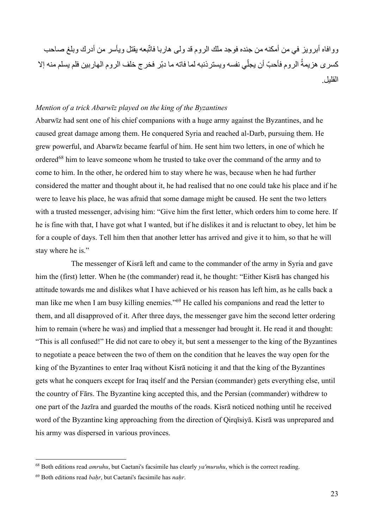ووافاه أبرويز في من أمكنه من جنده فوجد ملك الروم قد ولى هاربا فاتّبعه يقتل ويأسر من أدرك وبلغ صاحب كسرى هزيمةُ الروم فأحبّ أن يجلّي نفسه ويسترذنبه لما فاته ما دبّر فخرج خلف الروم الهاربين فلم يسلم منه إلا القليل.

#### *Mention of a trick Abarwīz played on the king of the Byzantines*

Abarwīz had sent one of his chief companions with a huge army against the Byzantines, and he caused great damage among them. He conquered Syria and reached al-Darb, pursuing them. He grew powerful, and Abarwīz became fearful of him. He sent him two letters, in one of which he ordered<sup>68</sup> him to leave someone whom he trusted to take over the command of the army and to come to him. In the other, he ordered him to stay where he was, because when he had further considered the matter and thought about it, he had realised that no one could take his place and if he were to leave his place, he was afraid that some damage might be caused. He sent the two letters with a trusted messenger, advising him: "Give him the first letter, which orders him to come here. If he is fine with that, I have got what I wanted, but if he dislikes it and is reluctant to obey, let him be for a couple of days. Tell him then that another letter has arrived and give it to him, so that he will stay where he is."

The messenger of Kisrā left and came to the commander of the army in Syria and gave him the (first) letter. When he (the commander) read it, he thought: "Either Kisrā has changed his attitude towards me and dislikes what I have achieved or his reason has left him, as he calls back a man like me when I am busy killing enemies."<sup>69</sup> He called his companions and read the letter to them, and all disapproved of it. After three days, the messenger gave him the second letter ordering him to remain (where he was) and implied that a messenger had brought it. He read it and thought: "This is all confused!" He did not care to obey it, but sent a messenger to the king of the Byzantines to negotiate a peace between the two of them on the condition that he leaves the way open for the king of the Byzantines to enter Iraq without Kisrā noticing it and that the king of the Byzantines gets what he conquers except for Iraq itself and the Persian (commander) gets everything else, until the country of Fārs. The Byzantine king accepted this, and the Persian (commander) withdrew to one part of the Jazīra and guarded the mouths of the roads. Kisrā noticed nothing until he received word of the Byzantine king approaching from the direction of Qirqīsiyā. Kisrā was unprepared and his army was dispersed in various provinces.

<sup>68</sup> Both editions read *amruhu*, but Caetani's facsimile has clearly *ya'muruhu*, which is the correct reading.

<sup>69</sup> Both editions read *baḥr*, but Caetani's facsimile has *naḥr*.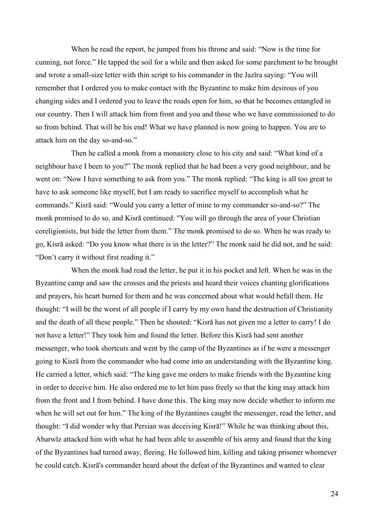When he read the report, he jumped from his throne and said: "Now is the time for cunning, not force." He tapped the soil for a while and then asked for some parchment to be brought and wrote a small-size letter with thin script to his commander in the Jazīra saying: "You will remember that I ordered you to make contact with the Byzantine to make him desirous of you changing sides and I ordered you to leave the roads open for him, so that he becomes entangled in our country. Then I will attack him from front and you and those who we have commissioned to do so from behind. That will be his end! What we have planned is now going to happen. You are to attack him on the day so-and-so."

Then he called a monk from a monastery close to his city and said: "What kind of a neighbour have I been to you?" The monk replied that he had been a very good neighbour, and he went on: "Now I have something to ask from you." The monk replied: "The king is all too great to have to ask someone like myself, but I am ready to sacrifice myself to accomplish what he commands." Kisrā said: "Would you carry a letter of mine to my commander so-and-so?" The monk promised to do so, and Kisrā continued: "You will go through the area of your Christian coreligionists, but hide the letter from them." The monk promised to do so. When he was ready to go, Kisrā asked: "Do you know what there is in the letter?" The monk said he did not, and he said: "Don't carry it without first reading it."

When the monk had read the letter, he put it in his pocket and left. When he was in the Byzantine camp and saw the crosses and the priests and heard their voices chanting glorifications and prayers, his heart burned for them and he was concerned about what would befall them. He thought: "I will be the worst of all people if I carry by my own hand the destruction of Christianity and the death of all these people." Then he shouted: "Kisrā has not given me a letter to carry! I do not have a letter!" They took him and found the letter. Before this Kisrā had sent another messenger, who took shortcuts and went by the camp of the Byzantines as if he were a messenger going to Kisrā from the commander who had come into an understanding with the Byzantine king. He carried a letter, which said: "The king gave me orders to make friends with the Byzantine king in order to deceive him. He also ordered me to let him pass freely so that the king may attack him from the front and I from behind. I have done this. The king may now decide whether to inform me when he will set out for him." The king of the Byzantines caught the messenger, read the letter, and thought: "I did wonder why that Persian was deceiving Kisrā!" While he was thinking about this, Abarwīz attacked him with what he had been able to assemble of his army and found that the king of the Byzantines had turned away, fleeing. He followed him, killing and taking prisoner whomever he could catch. Kisrā's commander heard about the defeat of the Byzantines and wanted to clear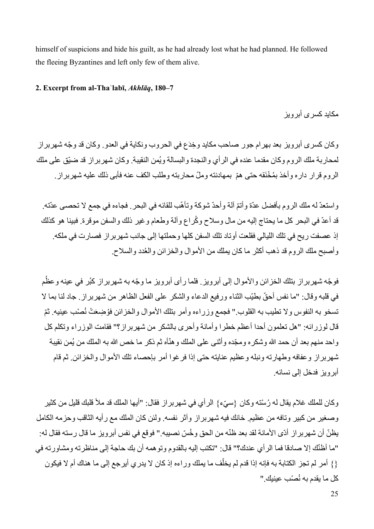himself of suspicions and hide his guilt, as he had already lost what he had planned. He followed the fleeing Byzantines and left only few of them alive.

#### **2. Excerpt from al-Thaʿlabī,** *Akhlāq***, 180–7**

مكابد كسر *ي* أبر و بز

وكان كسرى أبرويز بعد بهرام جور صاحب مكايد و ِخدَع في الحروب ونكاية في العدو. وكان قد و ّجه شهربراز لمحاربة ملك الروم وكان مقدما عنده في الرأي والنجدة والبسالة ويُمن النقيبة. وكان شهربراز قد ضيّق على ملك الروم قرار داره وأخذ بمُخْنَقه حتى همّ بمهادنته وملّ محاربته وطلب الكف عنه فأبى ذلك عليه شهربراز.

واستعدّ له ملك الروم بأفضل عدّة وأتمّ ألة وأحدّ شوكة وتأهّب للقائه في البحر . فجاءه في جمع لا تحصىي عدّته. قد أعدّ في البحر كل ما يحتاج إليه من مال وسالح و ُكراع وآلة وطعام وغير ذلك والسفن موقرة. فبينا هو كذلك إذ عصفت ريح في تلك الليالي فقلعت أوتاد تلك السفن كلها وحملتها إلى جانب شهربراز فصارت في ملكه. و أصبح ملك الر و م قد ذهب أكثر ما كان بملك من الأمو ال و الخز ائن و العُدد و السلاح.

فوجّه شهربراز بتلك الخزائن والأموال إلى أبرويز. فلما رأى أبرويز ما وجّه به شهربراز كبُر في عينه وعظُم في قلبه وقال: "ما نفس أحقّ بطيّب الثناء ورفيع الدعاء والشكر على الفعل الظاهر من شهربراز. جاد لنا بما لا تسخو به النفوس ولا تطيب به القلوب." فجمع وزراءه وأمر بتلك الأموال والخزائن فوُضِعَتْ نُصْب عينيه. ثمّ قال لوزرائه: "هل تعلمون أحدا أعظم خطرا وأمانة وأحرى بالشكر من شهربراز؟" فقامت الوزراء وتكلم كل واحد منهم بعد أن حمد الله وشكره ومجّده وأثنى على الملك وهنّأه ثم ذكر ما خص الله به الملك من يُمن نقيبة شهربراز وعفافه وطهارته ونبله وعظيم عنايته حتى إذا فرغوا أمر بإحصاء تلك األموال والخزائن. ثم قام أبرويز فدخل إلى نسائه.

وكان للملك غلام يقال له رُسْته وكان {سيّء} الرأي في شهربراز فقال: "أيها الملك قد ملأ قلبك قليل من كثير وصغير من كبير وتافه من عظيم. خانك فيه شهربراز وآثر نفسه. ولئن كان الملك مع رأيه الثاقب وحزمه الكامل يظنّ أن شهربراز أدّى الأمانة لقد بعد ظنّه من الحق وخُسّ نصيبه." فوقع في نفس أبرويز ما قال رسته فقال له: "ما أظنّك إال صادقا فما الرأي عندك؟" قال: "تكتب إليه بالقدوم وتوهمه أن بك حاجة إلى مناظرته ومشاورته في {} أمر لم تجز الكتابة به فإنه إذا قدم لم يخلّف ما يملك وراءه إذ كان لا يدري أيرجع إلى ما هناك أم لا فيكون كل ما يقدم به نُصْب عينيك."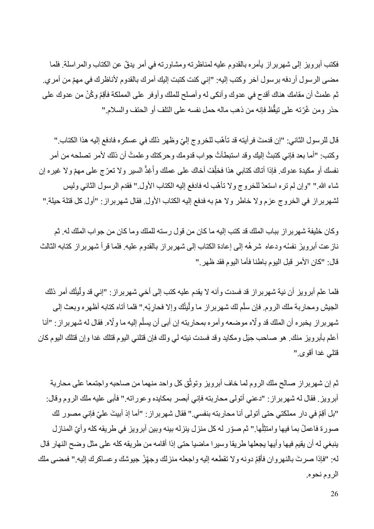فكتب أبرويز إلى شهربراز يأمره بالقدوم عليه لمناظرته ومشاورته في أمر يدقّ عن الكتاب والمراسلة. فلما مضى الرسول أردفه برسول آخر وكتب إليه: "إني كنت كتبت إليك آمرك بالقدوم ألناظرك في مهّم من أمري. ثم علمتُ أن مقامك هناك أقدح في عدوك وأنكى له وأصلح للملك وأوفر على المملكة فأقِمْ وكُنْ من عدوك على حذر ومن غُرّته على تيقُّظ فإنه من ذهب ماله حمل نفسه على التلف أو الحتف والسلام."

قال للرسول الثاني: "إن قدمتَ فر أيته قد تأهّب للخروج إليّ وظهر ذلك في عسكره فادفع إليه هذا الكتاب." وكتب: "أما بعد فإني كتبتُ إليك وقد استبطأتُ جواب قدومك وحركتك و علمتُ أن ذلك لأمر تصلحه من أمر نفسك أو مكيدة عدوك. فإذا أتاك كتابي هذا فخلِّفْ أخاك على عملك وأُغِذَّ السير ولا تعرّ ج على مهمّ ولا غيره إن َ شاء الله." "وإن لم تره استعدّ للخروج ولا تأهّب له فادفع إليه الكتاب الأول." فقدم الرسول الثاني وليس لشهربراز في الخروج عزم ولا خاطر ولا همّ به فدفع إليه الكتاب الأول. فقال شهربراز: "أول كل قتلة حيلة."

وكان خليفة شهربر از بباب الملك قد كتب إليه ما كان من قول رسته للملك وما كان من جواب الملك له. ثم نازعت أبرويزَ نفسُه ودعاه شر هُه إلى إعادة الكتاب إلى شهربراز بالقدوم عليه. فلما قرأ شهربراز كتابه الثالث قال: "كان الأمر قبل اليوم باطنا فأما اليوم فقد ظهر ."

ّفلما علم أبرويز أن نية شهربراز قد فسدت وأنه لا يقدم عليه كتب إلى أخي شهربراز : "إني قد ولَّيثُك أمر ذلك الجيش ومحاربة ملك الروم. فإن سلَّم لك شهربراز ما ولَّيثُك وإلا فحارِبْه.'' فلما أناه كتابه أظهره وبعث إلى ļ ڵ<br>ڵ شهربراز يخبره أن الملك قد ولّاه موضعه وأمره بمحاربته إن أبي أن يسلّم إليه ما ولّاه. فقال له شهربراز : "أنا اً أعلم بأبرويز منك. هو صاحب ِحيَل ومكايد وقد فسدت نيته لي ولك فإن قتلني اليوم قتلك غدا وإن قتلك اليوم كان قتلي غدا أقوى."

ّثم إن شهربر از صـالح ملك الروم لمـا خاف أبرويز وتوثق كل واحد منهما من صـاحبه واجتمعا على محاربة أبرويز. فقال له شهربراز: "دعني أتولى محاربته فإني أبصر بمكايده وعوراته." فأبى عليه ملك الروم وقال: "بل أقِمْ في دار مملكتي حتى أتولى أنا محاربته بنفسي." فقال شهر بر از : "أما إذ أبيتَ عليّ فإني مصور لك صورة فاعملْ بما فيها وامتثِلْها." ثم صوّر له كل منزل ينزله بينه وبين أبرويز في طريقه كله وأيّ المنازل ينبغي له أن يقيم فيها وأيها يجعلها طريقا وسيرا ماضيا حتى إذا أقامه من طريقه كله على مثل وضح النهار قال له: "فإذا صرتَ بالنهروان فأقِمْ دونه ولا تقطعه إليه واجعله منزلك وجهِّزْ جيوشك وعساكرك إليه." فمضىي ملك الروم نحوه.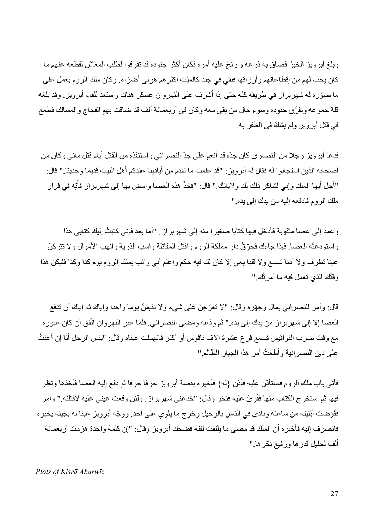وبلغ أبرويز الخبرُ فضاق به ذر عه وارتجّ عليه أمره فكان أكثر جنوده قد تفرقوا لطلب المعاش لقطعه عنهم ما كان يجب لهم من إقطاعاتهم وأرزاقها فبقي في جند كالميّت أكثرهم هزلى أض ّراء. وكان ملك الروم يعمل على ما صّوره له شهربراز في طريقه كله حتى إذا أشرف على النهروان عسكر هناك واستعدّ للقاء أبرويز. وقد بلغه قلة جموعه وتفرُّق جنوده وسوء حال من بقي معه وكان في أربعمائة ألف قد ضاقت بهم الفجاج والمسالك فطمع في قتل أبرويز ولم يشكّ في الظفر به.

فدعا أبرويز رجال من النصارى كان جدّه قد أنعم على جدّ النصراني واستنقذه من القتل أيام قتل ماني وكان من أصحابه الذين استجابوا له فقال له أبرويز : "قد علمتَ ما تقدم من أيادينا عندكم أهل البيت قديما وحديثا." قال: "أجل أيها الملك وإني لشاكر ذلك لك ولأبائك." قال: "فخذْ هذه العصـا وامضِ بـها إلى شهربراز فأْتِه في قرار ْ ملك الروم فادفعه إليه من يدك إلى يده."

وعمد إلى عصا مثقوبة فأدخل فيها كتابا صغيرا منه إلى شهربراز : "أما بعد فإني كتبتُ إليك كتابي هذا واستودعتُه العصـا. فإذا جاءك فحرّ قْ دار مملكة الروم واقتل المقاتلة واسبِ الذرية وانهب الأموال ولا تتركنّ عينا تطرف وال أذنا تسمع وال قلبا يعي إال كان لك فيه حكم واعلم أني واثب بملك الروم يوم كذا وكذا فليكن هذا وقتُك الذي تعمل فيه ما أمرتُك."

قال: وأمر للنصر اني بمال وجهّزه وقال: "لا تعرّجنّ على شيء ولا تقيمنّ يوما واحدا وإياك ثم إياك أن تدفع العصا إال إلى شهربراز من يدك إلى يده." ثم ودّعه ومضى النصراني. فلما عبر النهروان اتّفق أن كان عبوره مع وقت ضرب النواقيس فسمع قرع عشرة آلاف ناقوس أو أكثر فانهملت عيناه وقال: "بئس الرجل أنا إن أعنتُ على دين النصر انية وأطعتُ أمرٍ هذا الجبار الظالم."

فأتى باب ملك الروم فاستأذن عليه فأذن }له{ فأخبره بقصة أبرويز حرفا حرفا ثم د فع إليه العصا فأخذها ونظر فيها ثم استخرج الكتاب منها فقُرِيَ عليه فنخر وقال: "خدعني شهربراز . ولئن وقعت عيني عليه لأقتلنّه." وأمر فقُوّضت أبنيته من ساعته وِنادي في الناس بالرحيل وخرج ما يلوي على أحد. ووجّه أبرويز عينا له يجيئه بخبره فانصر ف إليه فأخبر ه أن الملك قد مضى ما يلتفت لفتة فضحك أبر ويز و قال: "إن كلمة و احدة هز مت أر بعمائة ألف لجليل قدرها ورفيع ذكرها."

*Plots of Kisrā Abarwīz*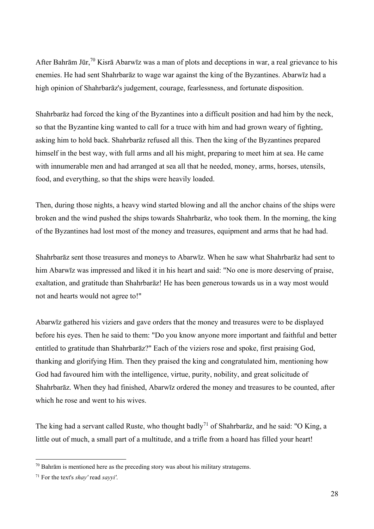After Bahrām Jūr,<sup>70</sup> Kisrā Abarwīz was a man of plots and deceptions in war, a real grievance to his enemies. He had sent Shahrbarāz to wage war against the king of the Byzantines. Abarwīz had a high opinion of Shahrbarāz's judgement, courage, fearlessness, and fortunate disposition.

Shahrbarāz had forced the king of the Byzantines into a difficult position and had him by the neck, so that the Byzantine king wanted to call for a truce with him and had grown weary of fighting, asking him to hold back. Shahrbarāz refused all this. Then the king of the Byzantines prepared himself in the best way, with full arms and all his might, preparing to meet him at sea. He came with innumerable men and had arranged at sea all that he needed, money, arms, horses, utensils, food, and everything, so that the ships were heavily loaded.

Then, during those nights, a heavy wind started blowing and all the anchor chains of the ships were broken and the wind pushed the ships towards Shahrbarāz, who took them. In the morning, the king of the Byzantines had lost most of the money and treasures, equipment and arms that he had had.

Shahrbarāz sent those treasures and moneys to Abarwīz. When he saw what Shahrbarāz had sent to him Abarwīz was impressed and liked it in his heart and said: "No one is more deserving of praise, exaltation, and gratitude than Shahrbarāz! He has been generous towards us in a way most would not and hearts would not agree to!"

Abarwīz gathered his viziers and gave orders that the money and treasures were to be displayed before his eyes. Then he said to them: "Do you know anyone more important and faithful and better entitled to gratitude than Shahrbarāz?" Each of the viziers rose and spoke, first praising God, thanking and glorifying Him. Then they praised the king and congratulated him, mentioning how God had favoured him with the intelligence, virtue, purity, nobility, and great solicitude of Shahrbarāz. When they had finished, Abarwīz ordered the money and treasures to be counted, after which he rose and went to his wives.

The king had a servant called Ruste, who thought badly<sup>71</sup> of Shahrbaraz, and he said: "O King, a little out of much, a small part of a multitude, and a trifle from a hoard has filled your heart!

 $70$  Bahrām is mentioned here as the preceding story was about his military stratagems.

<sup>71</sup> For the text's *shay'* read *sayyi'*.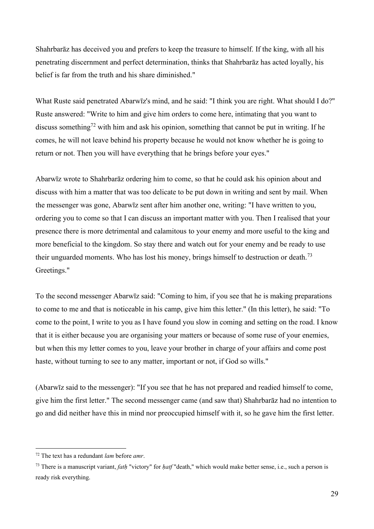Shahrbarāz has deceived you and prefers to keep the treasure to himself. If the king, with all his penetrating discernment and perfect determination, thinks that Shahrbarāz has acted loyally, his belief is far from the truth and his share diminished."

What Ruste said penetrated Abarwīz's mind, and he said: "I think you are right. What should I do?" Ruste answered: "Write to him and give him orders to come here, intimating that you want to discuss something<sup>72</sup> with him and ask his opinion, something that cannot be put in writing. If he comes, he will not leave behind his property because he would not know whether he is going to return or not. Then you will have everything that he brings before your eyes."

Abarwīz wrote to Shahrbarāz ordering him to come, so that he could ask his opinion about and discuss with him a matter that was too delicate to be put down in writing and sent by mail. When the messenger was gone, Abarwīz sent after him another one, writing: "I have written to you, ordering you to come so that I can discuss an important matter with you. Then I realised that your presence there is more detrimental and calamitous to your enemy and more useful to the king and more beneficial to the kingdom. So stay there and watch out for your enemy and be ready to use their unguarded moments. Who has lost his money, brings himself to destruction or death.<sup>73</sup> Greetings."

To the second messenger Abarwīz said: "Coming to him, if you see that he is making preparations to come to me and that is noticeable in his camp, give him this letter." (In this letter), he said: "To come to the point, I write to you as I have found you slow in coming and setting on the road. I know that it is either because you are organising your matters or because of some ruse of your enemies, but when this my letter comes to you, leave your brother in charge of your affairs and come post haste, without turning to see to any matter, important or not, if God so wills."

(Abarwīz said to the messenger): "If you see that he has not prepared and readied himself to come, give him the first letter." The second messenger came (and saw that) Shahrbarāz had no intention to go and did neither have this in mind nor preoccupied himself with it, so he gave him the first letter.

<sup>72</sup> The text has a redundant *lam* before *amr*.

<sup>73</sup> There is a manuscript variant, *fatḥ* "victory" for *ḥatf* "death," which would make better sense, i.e., such a person is ready risk everything.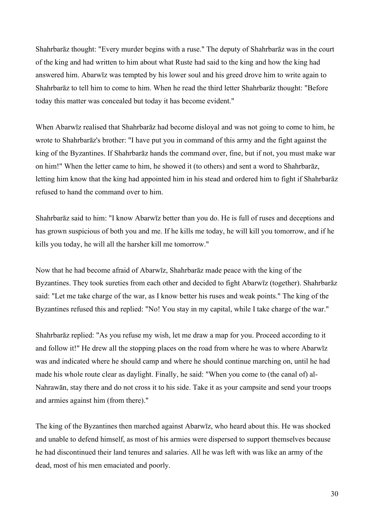Shahrbarāz thought: "Every murder begins with a ruse." The deputy of Shahrbarāz was in the court of the king and had written to him about what Ruste had said to the king and how the king had answered him. Abarwīz was tempted by his lower soul and his greed drove him to write again to Shahrbarāz to tell him to come to him. When he read the third letter Shahrbarāz thought: "Before today this matter was concealed but today it has become evident."

When Abarwīz realised that Shahrbarāz had become disloyal and was not going to come to him, he wrote to Shahrbarāz's brother: "I have put you in command of this army and the fight against the king of the Byzantines. If Shahrbarāz hands the command over, fine, but if not, you must make war on him!" When the letter came to him, he showed it (to others) and sent a word to Shahrbarāz, letting him know that the king had appointed him in his stead and ordered him to fight if Shahrbarāz refused to hand the command over to him.

Shahrbarāz said to him: "I know Abarwīz better than you do. He is full of ruses and deceptions and has grown suspicious of both you and me. If he kills me today, he will kill you tomorrow, and if he kills you today, he will all the harsher kill me tomorrow."

Now that he had become afraid of Abarwīz, Shahrbarāz made peace with the king of the Byzantines. They took sureties from each other and decided to fight Abarwīz (together). Shahrbarāz said: "Let me take charge of the war, as I know better his ruses and weak points." The king of the Byzantines refused this and replied: "No! You stay in my capital, while I take charge of the war."

Shahrbarāz replied: "As you refuse my wish, let me draw a map for you. Proceed according to it and follow it!" He drew all the stopping places on the road from where he was to where Abarwīz was and indicated where he should camp and where he should continue marching on, until he had made his whole route clear as daylight. Finally, he said: "When you come to (the canal of) al-Nahrawān, stay there and do not cross it to his side. Take it as your campsite and send your troops and armies against him (from there)."

The king of the Byzantines then marched against Abarwīz, who heard about this. He was shocked and unable to defend himself, as most of his armies were dispersed to support themselves because he had discontinued their land tenures and salaries. All he was left with was like an army of the dead, most of his men emaciated and poorly.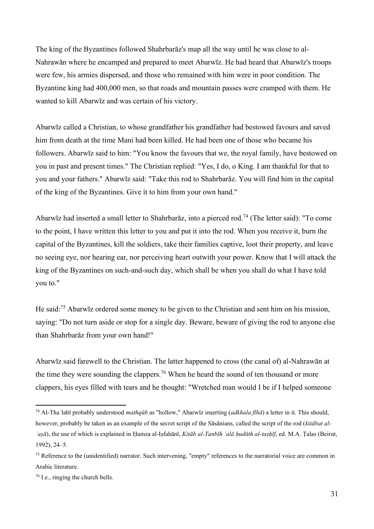The king of the Byzantines followed Shahrbarāz's map all the way until he was close to al-Nahrawān where he encamped and prepared to meet Abarwīz. He had heard that Abarwīz's troops were few, his armies dispersed, and those who remained with him were in poor condition. The Byzantine king had 400,000 men, so that roads and mountain passes were cramped with them. He wanted to kill Abarwīz and was certain of his victory.

Abarwīz called a Christian, to whose grandfather his grandfather had bestowed favours and saved him from death at the time Mani had been killed. He had been one of those who became his followers. Abarwīz said to him: "You know the favours that we, the royal family, have bestowed on you in past and present times." The Christian replied: "Yes, I do, o King. I am thankful for that to you and your fathers." Abarwīz said: "Take this rod to Shahrbarāz. You will find him in the capital of the king of the Byzantines. Give it to him from your own hand."

Abarwīz had inserted a small letter to Shahrbarāz, into a pierced rod.<sup>74</sup> (The letter said): "To come to the point, I have written this letter to you and put it into the rod. When you receive it, burn the capital of the Byzantines, kill the soldiers, take their families captive, loot their property, and leave no seeing eye, nor hearing ear, nor perceiving heart outwith your power. Know that I will attack the king of the Byzantines on such-and-such day, which shall be when you shall do what I have told you to."

He said:<sup>75</sup> Abarwīz ordered some money to be given to the Christian and sent him on his mission, saying: "Do not turn aside or stop for a single day. Beware, beware of giving the rod to anyone else than Shahrbarāz from your own hand!"

Abarwīz said farewell to the Christian. The latter happened to cross (the canal of) al-Nahrawān at the time they were sounding the clappers.<sup>76</sup> When he heard the sound of ten thousand or more clappers, his eyes filled with tears and he thought: "Wretched man would I be if I helped someone

<sup>74</sup> Al-Thaʿlabī probably understood *mathqūb* as "hollow," Abarwīz inserting (*adkhala fīhā*) a letter in it. This should, however, probably be taken as an example of the secret script of the Sāsānians, called the script of the rod (*kitābat al-ʿaṣā*), the use of which is explained in Ḥamza al-Iṣfahānī, *Kitāb al-Tanbīh ʿalā ḥudūth al-taṣḥīf*, ed. M.A. Ṭalas (Beirut, 1992), 24–5.

 $<sup>75</sup>$  Reference to the (unidentified) narrator. Such intervening, "empty" references to the narratorial voice are common in</sup> Arabic literature.

<sup>76</sup> I.e., ringing the church bells.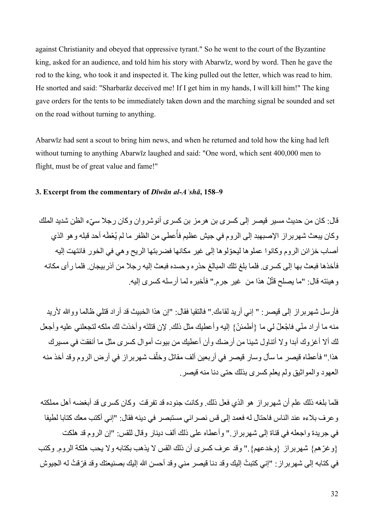against Christianity and obeyed that oppressive tyrant." So he went to the court of the Byzantine king, asked for an audience, and told him his story with Abarwīz, word by word. Then he gave the rod to the king, who took it and inspected it. The king pulled out the letter, which was read to him. He snorted and said: "Sharbarāz deceived me! If I get him in my hands, I will kill him!" The king gave orders for the tents to be immediately taken down and the marching signal be sounded and set on the road without turning to anything.

Abarwīz had sent a scout to bring him news, and when he returned and told how the king had left without turning to anything Abarwīz laughed and said: "One word, which sent 400,000 men to flight, must be of great value and fame!"

#### **3. Excerpt from the commentary of** *Dīwān al-Aʿshā***, 158–9**

قال: كان من حديث مسير قيصر إلى كسر ي بن هر مز بن كسر ي أنو شر و ان و كان ر جلا سيّء الظن شديد الملك وكان يبعث شهربراز الإصبهبد إلى الروم في جيش عظيم فأُعطي من الظفر ما لم يُعْطَه أحد قبله وهو الذي أصاب خزائن الروم وكانوا عملوها ليحّولوها إلى غير مكانها فضربتها الريح وهي في الخور فانتهت إليه فأخذها فبعث بها إلى كسرى. فلما بلغ تلك المبالغ حذره وحسده فبعث إليه رجال من آذربيجان. فلما رأى مكانه وهيئته قال: "ما يصلح قثْلُ هذا من ۖ غير جرم." فأخبره لما أرسله كسرى إليه.

فأرسل شهربراز إلى قيصر: " إني أريد لقاءك." فالتقيا فقال: "إن هذا الخبيث قد أراد قتلي ظالما ووالله لأريد منه ما أراد منّي فاجْعلْ لي ما {أطمئنّ} إليه وأعطيك مثل ذلك. لإن قتلتَه وأخذتَ لك ملكه لتجعلني عليه وأجعل لك أال أغزوك أبدا وال أتناول شيئا من أرضك وأن أعطيك من بيوت أموال كسرى مثل ما أنفق َت في مسيرك هذا." فأعطاه قيصر ما سأل وسار قيصر في أربعين ألف مقاتل وخلّف شهربراز في أرض الروم وقد أخذ منه العهود والمواثيق ولم يعلم كسرى بذلك حتى دنا منه قيصر.

فلما بلغه ذلك علم أن شهربراز هو الذي فعل ذلك. وكانت جنوده قد تفرقت وكان كسرى قد أبغضه أهل مملكته وعرف بالءه عند الناس فاحتال له فعمد إلى قس نصراني مستبصر في دينه فقال: "إني أكتب معك كتابا لطيفا في جريدة واجعله في قناة إلى شهربراز." وأعطاه على ذلك ألف دينار وقال للقس: "إن الروم قد هلكت }وغ ّرهم{ شهربراز }وخدعهم{." وقد عرف كسرى أن ذلك القس ال يذهب بكتابه وال يحب هلكة الروم. وكتب في كتابه إلى شهر بر إن: "إني كتبتُ إليك وقد دنا قيصر ٍ مني وقد أحسن الله إليك بصنيعتك وقد فرّقتُ له الجيوش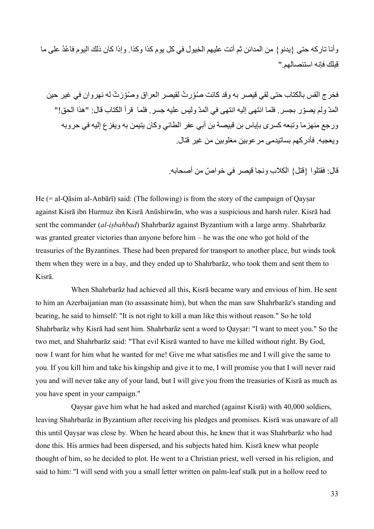وأنا تاركه حتى }يدنو{ من المدائن ثم أتت عليهم الخيول في كل يوم كذا وكذا. وإذا كان ذلك اليوم فا ْعدُ على ما قبلك فإنه استئصالهم."

فخرج القس بالكتاب حتى لقي قيصر به وقد كانت صُوِّرتْ لقيصر العراق وصُوِّرَتْ له نهروان في غير حين المدّ ولم يصّور بجسر. فلما انتهى إليه انتهى في المدّ وليس عليه جسر. فلما قرأ الكتاب قال: "هذا الحق!" ورجع منهزما وتبعه كسرى بإياس بن قبيصة بن أبي عفر الطائي وكان يتيمن به ويفزع إليه في حروبه ويعجبه. فأدركهم بساتيدمى مرعوبين مغلوبين من غير قتال.

قال: فقتلوا {قتل} الكلاب ونجا قيصر في خواصّ من أصحابه.

He  $(= al-Qāsim al-Anbārī)$  said: (The following) is from the story of the campaign of Qaysar against Kisrā ibn Hurmuz ibn Kisrā Anūshirwān, who was a suspicious and harsh ruler. Kisrā had sent the commander (*al-iṣbahbad*) Shahrbarāz against Byzantium with a large army. Shahrbarāz was granted greater victories than anyone before him – he was the one who got hold of the treasuries of the Byzantines. These had been prepared for transport to another place, but winds took them when they were in a bay, and they ended up to Shahrbarāz, who took them and sent them to Kisrā.

When Shahrbarāz had achieved all this, Kisrā became wary and envious of him. He sent to him an Azerbaijanian man (to assassinate him), but when the man saw Shahrbarāz's standing and bearing, he said to himself: "It is not right to kill a man like this without reason." So he told Shahrbarāz why Kisrā had sent him. Shahrbarāz sent a word to Qayṣar: "I want to meet you." So the two met, and Shahrbarāz said: "That evil Kisrā wanted to have me killed without right. By God, now I want for him what he wanted for me! Give me what satisfies me and I will give the same to you. If you kill him and take his kingship and give it to me, I will promise you that I will never raid you and will never take any of your land, but I will give you from the treasuries of Kisrā as much as you have spent in your campaign."

Qayṣar gave him what he had asked and marched (against Kisrā) with 40,000 soldiers, leaving Shahrbarāz in Byzantium after receiving his pledges and promises. Kisrā was unaware of all this until Qayṣar was close by. When he heard about this, he knew that it was Shahrbarāz who had done this. His armies had been dispersed, and his subjects hated him. Kisrā knew what people thought of him, so he decided to plot. He went to a Christian priest, well versed in his religion, and said to him: "I will send with you a small letter written on palm-leaf stalk put in a hollow reed to